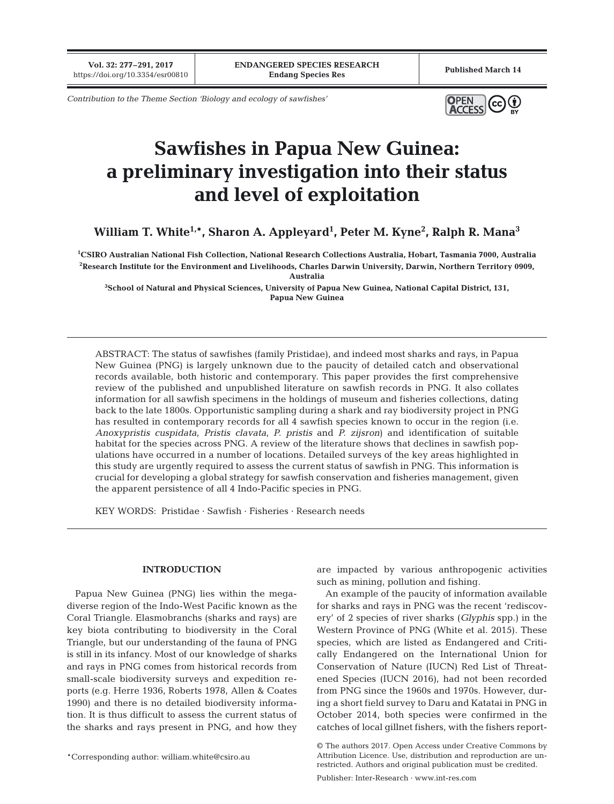**Vol. 32: 277–291, 2017**

*Contribution to the Theme Section 'Biology and ecology of sawfishes'*



# **Sawfishes in Papua New Guinea: a preliminary investigation into their status and level of exploitation**

**William T. White1,\*, Sharon A. Appleyard1 , Peter M. Kyne2 , Ralph R. Mana3**

**1 CSIRO Australian National Fish Collection, National Research Collections Australia, Hobart, Tasmania 7000, Australia 2 Research Institute for the Environment and Livelihoods, Charles Darwin University, Darwin, Northern Territory 0909, Australia**

**3 School of Natural and Physical Sciences, University of Papua New Guinea, National Capital District, 131, Papua New Guinea**

ABSTRACT: The status of sawfishes (family Pristidae), and indeed most sharks and rays, in Papua New Guinea (PNG) is largely unknown due to the paucity of detailed catch and observational records available, both historic and contemporary. This paper provides the first comprehensive review of the published and unpublished literature on sawfish records in PNG. It also collates information for all sawfish specimens in the holdings of museum and fisheries collections, dating back to the late 1800s. Opportunistic sampling during a shark and ray biodiversity project in PNG has resulted in contemporary records for all 4 sawfish species known to occur in the region (i.e. *Anoxypristis cuspidata*, *Pristis clavata*, *P. pristis* and *P. zijsron*) and identification of suitable habitat for the species across PNG. A review of the literature shows that declines in sawfish populations have occurred in a number of locations. Detailed surveys of the key areas highlighted in this study are urgently required to assess the current status of sawfish in PNG. This information is crucial for developing a global strategy for sawfish conservation and fisheries management, given the apparent persistence of all 4 Indo-Pacific species in PNG.

KEY WORDS: Pristidae · Sawfish · Fisheries · Research needs

## **INTRODUCTION**

Papua New Guinea (PNG) lies within the megadiverse region of the Indo-West Pacific known as the Coral Triangle. Elasmobranchs (sharks and rays) are key biota contributing to biodiversity in the Coral Triangle, but our understanding of the fauna of PNG is still in its infancy. Most of our knowledge of sharks and rays in PNG comes from historical records from small-scale biodiversity surveys and expedition re ports (e.g. Herre 1936, Roberts 1978, Allen & Coates 1990) and there is no detailed biodiversity information. It is thus difficult to assess the current status of the sharks and rays present in PNG, and how they

\*Corresponding author: william.white@csiro.au

are impacted by various anthropogenic activities such as mining, pollution and fishing.

An example of the paucity of information available for sharks and rays in PNG was the recent 'rediscovery' of 2 species of river sharks (*Glyphis* spp.) in the Western Province of PNG (White et al. 2015). These species, which are listed as Endangered and Critically Endangered on the International Union for Conservation of Nature (IUCN) Red List of Threatened Species (IUCN 2016), had not been recorded from PNG since the 1960s and 1970s. However, during a short field survey to Daru and Katatai in PNG in October 2014, both species were confirmed in the catches of local gillnet fishers, with the fishers report-

<sup>©</sup> The authors 2017. Open Access under Creative Commons by Attribution Licence. Use, distribution and reproduction are unrestricted. Authors and original publication must be credited.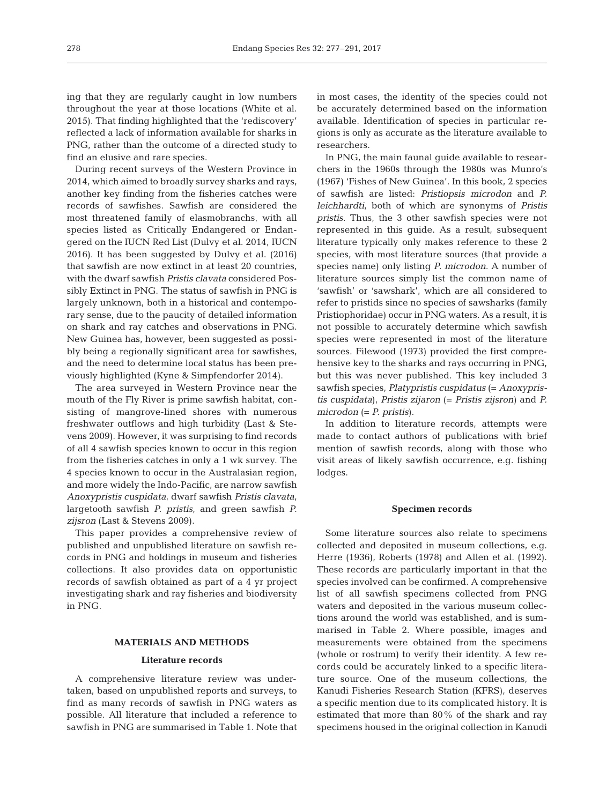ing that they are regularly caught in low numbers throughout the year at those locations (White et al. 2015). That finding highlighted that the 'rediscovery' reflected a lack of information available for sharks in PNG, rather than the outcome of a directed study to find an elusive and rare species.

During recent surveys of the Western Province in 2014, which aimed to broadly survey sharks and rays, another key finding from the fisheries catches were records of sawfishes. Sawfish are considered the most threatened family of elasmobranchs, with all species listed as Critically Endangered or Endangered on the IUCN Red List (Dulvy et al. 2014, IUCN 2016). It has been suggested by Dulvy et al. (2016) that sawfish are now extinct in at least 20 countries, with the dwarf sawfish *Pristis clavata* considered Possibly Extinct in PNG. The status of sawfish in PNG is largely unknown, both in a historical and contemporary sense, due to the paucity of detailed information on shark and ray catches and observations in PNG. New Guinea has, however, been suggested as possibly being a regionally significant area for sawfishes, and the need to determine local status has been previously highlighted (Kyne & Simpfendorfer 2014).

The area surveyed in Western Province near the mouth of the Fly River is prime sawfish habitat, consisting of mangrove-lined shores with numerous freshwater outflows and high turbidity (Last & Ste vens 2009). However, it was surprising to find records of all 4 sawfish species known to occur in this region from the fisheries catches in only a 1 wk survey. The 4 species known to occur in the Australasian region, and more widely the Indo-Pacific, are narrow sawfish *Anoxypristis cuspidata*, dwarf sawfish *Pristis clavata*, largetooth sawfish *P. pristis*, and green sawfish *P. zijsron* (Last & Stevens 2009).

This paper provides a comprehensive review of published and unpublished literature on sawfish records in PNG and holdings in museum and fisheries collections. It also provides data on opportunistic records of sawfish obtained as part of a 4 yr project investigating shark and ray fisheries and biodiversity in PNG.

## **MATERIALS AND METHODS**

#### **Literature records**

A comprehensive literature review was undertaken, based on unpublished reports and surveys, to find as many records of sawfish in PNG waters as possible. All literature that included a reference to sawfish in PNG are summarised in Table 1. Note that

in most cases, the identity of the species could not be accurately determined based on the information available. Identification of species in particular re gions is only as accurate as the literature available to researchers.

In PNG, the main faunal guide available to researchers in the 1960s through the 1980s was Munro's (1967) 'Fishes of New Guinea'. In this book, 2 species of sawfish are listed: *Pristiopsis microdon* and *P. leichhardti*, both of which are synonyms of *Pristis pristis*. Thus, the 3 other sawfish species were not represented in this guide. As a result, subsequent literature typically only makes reference to these 2 species, with most literature sources (that provide a species name) only listing *P. microdon*. A number of literature sources simply list the common name of 'sawfish' or 'sawshark', which are all considered to refer to pristids since no species of sawsharks (family Pristiophoridae) occur in PNG waters. As a result, it is not possible to accurately determine which sawfish species were represented in most of the literature sources. Filewood (1973) provided the first comprehensive key to the sharks and rays occurring in PNG, but this was never published. This key included 3 sawfish species, *Platypristis cuspidatus* (= *Anoxypristis cuspidata*), *Pristis zijaron* (= *Pristis zijsron*) and *P. microdon* (= *P. pristis*).

In addition to literature records, attempts were made to contact authors of publications with brief mention of sawfish records, along with those who visit areas of likely sawfish occurrence, e.g. fishing lodges.

#### **Specimen records**

Some literature sources also relate to specimens collected and deposited in museum collections, e.g. Herre (1936), Roberts (1978) and Allen et al. (1992). These records are particularly important in that the species involved can be confirmed. A comprehensive list of all sawfish specimens collected from PNG waters and deposited in the various museum collections around the world was established, and is summarised in Table 2. Where possible, images and measurements were obtained from the specimens (whole or rostrum) to verify their identity. A few re cords could be accurately linked to a specific literature source. One of the museum collections, the Kanudi Fisheries Research Station (KFRS), deserves a specific mention due to its complicated history. It is estimated that more than 80% of the shark and ray specimens housed in the original collection in Kanudi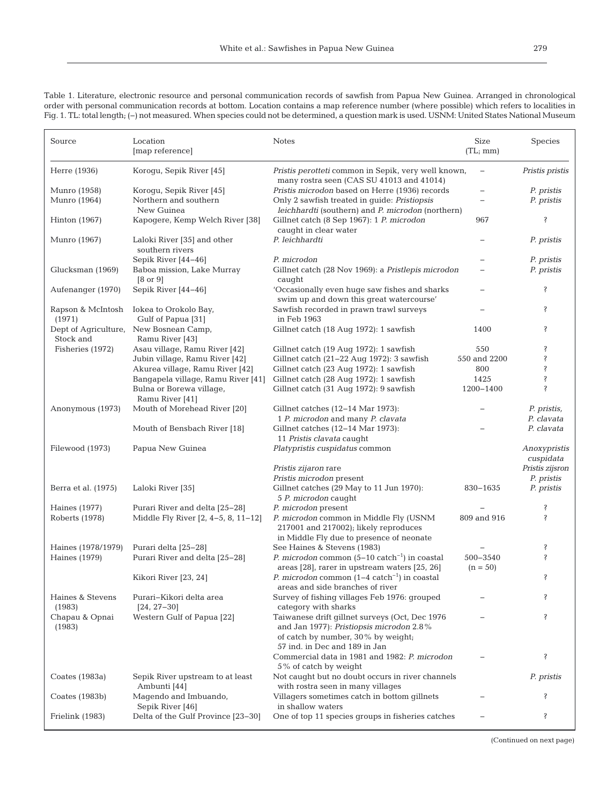| Source                            | Location<br>[map reference]                                    | <b>Notes</b>                                                                                                                                                      | Size<br>(TL; mm)  | Species                   |
|-----------------------------------|----------------------------------------------------------------|-------------------------------------------------------------------------------------------------------------------------------------------------------------------|-------------------|---------------------------|
| Herre (1936)                      | Korogu, Sepik River [45]                                       | Pristis perotteti common in Sepik, very well known,<br>many rostra seen (CAS SU 41013 and 41014)                                                                  |                   | Pristis pristis           |
| Munro (1958)                      | Koroqu, Sepik River [45]                                       | Pristis microdon based on Herre (1936) records                                                                                                                    |                   | P. pristis                |
| Munro (1964)                      | Northern and southern                                          | Only 2 sawfish treated in guide: Pristiopsis                                                                                                                      |                   | P. pristis                |
|                                   | New Guinea                                                     | leichhardti (southern) and P. microdon (northern)                                                                                                                 |                   |                           |
| Hinton $(1967)$                   | Kapogere, Kemp Welch River [38]                                | Gillnet catch (8 Sep 1967): 1 P. microdon<br>caught in clear water                                                                                                | 967               | ŝ                         |
| Munro (1967)                      | Laloki River [35] and other<br>southern rivers                 | P. leichhardti                                                                                                                                                    |                   | P. pristis                |
|                                   | Sepik River [44-46]                                            | P. microdon                                                                                                                                                       |                   | P. pristis                |
| Glucksman (1969)                  | Baboa mission, Lake Murray<br>$[8 \text{ or } 9]$              | Gillnet catch (28 Nov 1969): a Pristlepis microdon<br>caught                                                                                                      |                   | P. pristis                |
| Aufenanger (1970)                 | Sepik River [44-46]                                            | 'Occasionally even huge saw fishes and sharks                                                                                                                     |                   | Ş                         |
|                                   |                                                                | swim up and down this great watercourse'                                                                                                                          |                   |                           |
| Rapson & McIntosh<br>(1971)       | Iokea to Orokolo Bay,<br>Gulf of Papua [31]                    | Sawfish recorded in prawn trawl surveys<br>in Feb 1963                                                                                                            |                   | Ş                         |
| Dept of Agriculture,<br>Stock and | New Bosnean Camp,<br>Ramu River [43]                           | Gillnet catch (18 Aug 1972): 1 sawfish                                                                                                                            | 1400              | ŝ                         |
| Fisheries (1972)                  | Asau village, Ramu River [42]                                  | Gillnet catch (19 Aug 1972): 1 sawfish                                                                                                                            | 550               | ŝ                         |
|                                   | Jubin village, Ramu River [42]                                 | Gillnet catch (21-22 Aug 1972): 3 sawfish                                                                                                                         | 550 and 2200      | Ş                         |
|                                   | Akurea village, Ramu River [42]                                | Gillnet catch (23 Aug 1972): 1 sawfish                                                                                                                            | 800               | Ş                         |
|                                   | Bangapela village, Ramu River [41]<br>Bulna or Borewa village, | Gillnet catch (28 Aug 1972): 1 sawfish<br>Gillnet catch (31 Aug 1972): 9 sawfish                                                                                  | 1425<br>1200-1400 | Ş<br>Ş                    |
| Anonymous (1973)                  | Ramu River [41]<br>Mouth of Morehead River [20]                |                                                                                                                                                                   |                   |                           |
|                                   |                                                                | Gillnet catches (12-14 Mar 1973):<br>1 P. microdon and many P. clavata                                                                                            |                   | P. pristis,<br>P. clavata |
|                                   | Mouth of Bensbach River [18]                                   | Gillnet catches (12-14 Mar 1973):<br>11 Pristis clavata caught                                                                                                    |                   | P. clavata                |
| Filewood (1973)                   | Papua New Guinea                                               | Platypristis cuspidatus common                                                                                                                                    |                   | Anoxypristis<br>cuspidata |
|                                   |                                                                | <i>Pristis zijaron</i> rare                                                                                                                                       |                   | Pristis zijsron           |
|                                   |                                                                | Pristis microdon present                                                                                                                                          | 830-1635          | P. pristis                |
| Berra et al. (1975)               | Laloki River [35]                                              | Gillnet catches (29 May to 11 Jun 1970):<br>5 P. microdon caught                                                                                                  |                   | P. pristis                |
| Haines (1977)                     | Purari River and delta [25-28]                                 | P. microdon present                                                                                                                                               |                   | ŝ                         |
| Roberts (1978)                    | Middle Fly River [2, 4-5, 8, 11-12]                            | P. microdon common in Middle Fly (USNM<br>217001 and 217002); likely reproduces                                                                                   | 809 and 916       | Ş                         |
| Haines (1978/1979)                | Purari delta [25-28]                                           | in Middle Fly due to presence of neonate<br>See Haines & Stevens (1983)                                                                                           |                   | Ş                         |
| Haines (1979)                     | Purari River and delta [25-28]                                 | <i>P. microdon</i> common $(5-10 \text{ catch}^{-1})$ in coastal                                                                                                  | 500-3540          | Ŝ                         |
|                                   |                                                                | areas [28], rarer in upstream waters [25, 26]                                                                                                                     | $(n = 50)$        |                           |
|                                   | Kikori River [23, 24]                                          | <i>P. microdon</i> common $(1-4 \text{ catch}^{-1})$ in coastal<br>areas and side branches of river                                                               |                   | Ş                         |
| Haines & Stevens<br>(1983)        | Purari–Kikori delta area<br>$[24, 27-30]$                      | Survey of fishing villages Feb 1976: grouped<br>category with sharks                                                                                              |                   | Ş                         |
| Chapau & Opnai<br>(1983)          | Western Gulf of Papua [22]                                     | Taiwanese drift gillnet surveys (Oct, Dec 1976<br>and Jan 1977): Pristiopsis microdon 2.8%<br>of catch by number, 30% by weight;<br>57 ind. in Dec and 189 in Jan |                   | ş                         |
|                                   |                                                                | Commercial data in 1981 and 1982: P. microdon<br>5% of catch by weight                                                                                            |                   | ş                         |
| Coates (1983a)                    | Sepik River upstream to at least<br>Ambunti [44]               | Not caught but no doubt occurs in river channels<br>with rostra seen in many villages                                                                             |                   | P. pristis                |
| Coates (1983b)                    | Magendo and Imbuando,<br>Sepik River [46]                      | Villagers sometimes catch in bottom gillnets<br>in shallow waters                                                                                                 |                   | Ŝ                         |
| Frielink (1983)                   | Delta of the Gulf Province [23-30]                             | One of top 11 species groups in fisheries catches                                                                                                                 |                   | ş                         |

Table 1. Literature, electronic resource and personal communication records of sawfish from Papua New Guinea. Arranged in chronological order with personal communication records at bottom. Location contains a map reference number (where possible) which refers to localities in Fig. 1. TL: total length; (−) not measured. When species could not be determined, a question mark is used. USNM: United States National Museum

(Continued on next page)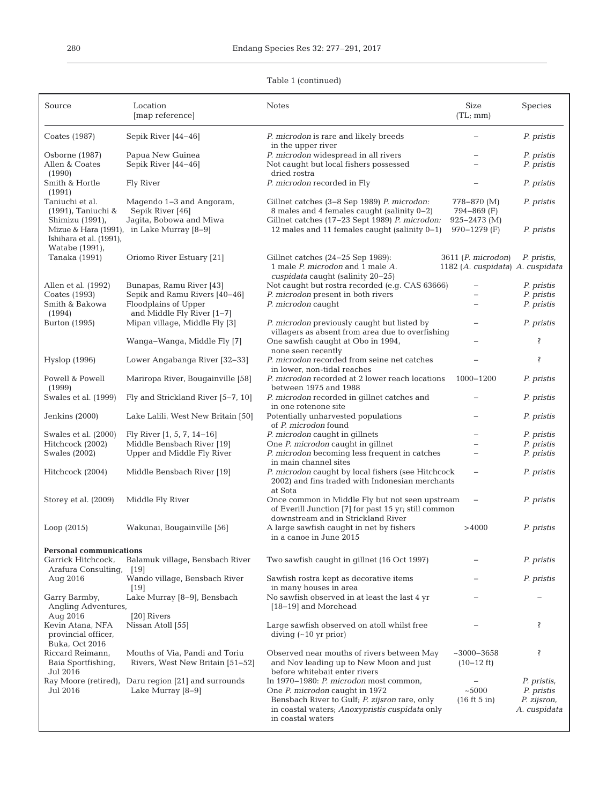#### Source Location Notes Size Species [map reference] (TL; mm) Coates (1987) Sepik River [44−46] *P. microdon* is rare and likely breeds − *P. pristis* in the upper river Osborne (1987) Papua New Guinea *P. microdon* widespread in all rivers − *P. pristis* Allen & Coates Sepik River [44−46] Not caught but local fishers possessed − *P. pristis* (1990) dried rostra<br>
Smith & Hortle Fly River Fig. 2. P. microdon i P. microdon recorded in Fly − *P. pristis* (1991) Taniuchi et al. Magendo 1−3 and Angoram, Gillnet catches (3−8 Sep 1989) *P. microdon:* 778−870 (M) *P. pristis* (1991), Taniuchi & Sepik River [46] 8 males and 4 females caught (salinity 0−2) 794−869 (F) Shimizu (1991), Jagita, Bobowa and Miwa Gillnet catches (17−23 Sept 1989) *P. microdon:* 925−2473 (M) Mizue & Hara (1991), in Lake Murray [8−9] 12 males and 11 females caught (salinity 0−1) 970−1279 (F) *P. pristis* Ishihara et al. (1991), Watabe (1991), Oriomo River Estuary [21] Gillnet catches (24−25 Sep 1989): 3611 (*P. microdon*) *P. pristis,* 1 male *P. microdon* and 1 male *A.* 1182 (*A. cuspidata*) *A. cuspidata* 1 male *P. microdon* and 1 male *A. cuspidata* caught (salinity 20−25) Allen et al. (1992) Bunapas, Ramu River [43] Not caught but rostra recorded (e.g. CAS 63666) − *P. pristis* P. microdon present in both rivers Smith & Bakowa Floodplains of Upper *P. microdon* caught − *P. pristis*<br>(1994) and Middle Fly River [1–7] (1994) and Middle Fly River [1−7] P. microdon previously caught but listed by − *P. pristis* villagers as absent from area due to overfishing Wanga–Wanga, Middle Fly [7] One sawfish caught at Obo in 1994, − 7 none seen recently Hyslop (1996) Lower Angabanga River [32−33] *P. microdon* recorded from seine net catches − ? in lower, non-tidal reaches Powell & Powell Mariropa River, Bougainville [58] *P. microdon* recorded at 2 lower reach locations 1000−1200 *P. pristis* (1999) between 1975 and 1988<br>Swales et al. (1999) Fly and Strickland River [5-7, 10] P. microdon recorded in o P. microdon recorded in gillnet catches and − *P. pristis* in one rotenone site<br>Potentially unharvested populations Jenkins (2000) Lake Lalili, West New Britain [50] Potentially unharvested populations − *P. pristis* of *P. microdon* found Swales et al. (2000) Fly River [1, 5, 7, 14−16] *P. microdon* caught in gillnets − *P. pristis* Hitchcock (2002) Middle Bensbach River [19] One *P. microdon* caught in gillnet − *P. pristis* Swales (2002) Upper and Middle Fly River *P. microdon* becoming less frequent in catches − *P. pristis* in main channel sites Hitchcock (2004) Middle Bensbach River [19] *P. microdon* caught by local fishers (see Hitchcock − *P. pristis* 2002) and fins traded with Indonesian merchants at Sota Storey et al. (2009) Middle Fly River Once common in Middle Fly but not seen upstream − *P. pristis* of Everill Junction [7] for past 15 yr; still common downstream and in Strickland River Loop (2015) Wakunai, Bougainville [56] A large sawfish caught in net by fishers >4000 *P. pristis* in a canoe in June 2015 **Personal communications** Two sawfish caught in gillnet (16 Oct 1997) **−** *P. pristis* Arafura Consulting, [19] Aug 2016 Wando village, Bensbach River Sawfish rostra kept as decorative items − *P. pristis* in many houses in area Garry Barmby, Lake Murray [8−9], Bensbach No sawfish observed in at least the last 4 yr Angling Adventures, [18−19] and Morehead Aug 2016 [20] Rivers<br>Kevin Atana, NFA Nissan Atoll [55] Large sawfish observed on atoll whilst free − → ? provincial officer, diving (~10 yr prior) Buka, Oct 2016 Riccard Reimann, Mouths of Via, Pandi and Toriu Observed near mouths of rivers between May ~3000–3658 ?<br>Baia Sportfishing, Rivers, West New Britain [51–52] and Nov leading up to New Moon and just (10–12 ft) Baia Sportfishing, Rivers, West New Britain [51–52] and Nov leading up to New Moon and just (10−12 ft)<br>Jul 2016 before whitebait enter rivers<br>In 1970–1980: *P. microdon* most common, Ray Moore (retired), Daru region [21] and surrounds In 1970–1980: *P. microdon* most common, − *P. pristis*, Jul 2016 Lake Murray [8–9] One *P. microdon* caught in 1972 -5000 *P. pristis* Lake Murray [8−9] One *P. microdon* caught in 1972 Bensbach River to Gulf; *P. zijsron* rare, only (16 ft 5 in) *P. zijsron*, in coastal waters; *Anoxypristis cuspidata* only in coastal waters

#### Table 1 (continued)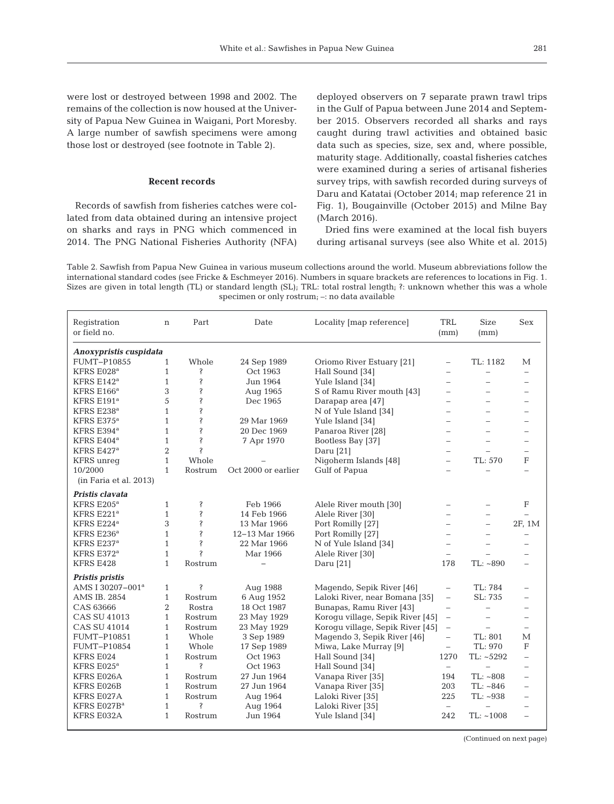#### **Recent records**

Records of sawfish from fisheries catches were collated from data obtained during an intensive project on sharks and rays in PNG which commenced in 2014. The PNG National Fisheries Authority (NFA)

deployed observers on 7 separate prawn trawl trips in the Gulf of Papua between June 2014 and September 2015. Observers recorded all sharks and rays caught during trawl activities and obtained basic data such as species, size, sex and, where possible, maturity stage. Additionally, coastal fisheries catches were examined during a series of artisanal fisheries survey trips, with sawfish recorded during surveys of Daru and Katatai (October 2014; map reference 21 in Fig. 1), Bougainville (October 2015) and Milne Bay (March 2016).

Dried fins were examined at the local fish buyers during artisanal surveys (see also White et al. 2015)

Table 2. Sawfish from Papua New Guinea in various museum collections around the world. Museum abbreviations follow the international standard codes (see Fricke & Eschmeyer 2016). Numbers in square brackets are references to locations in Fig. 1. Sizes are given in total length (TL) or standard length (SL); TRL: total rostral length; ?: unknown whether this was a whole specimen or only rostrum; –: no data available

| Registration<br>or field no. | $\mathbf n$    | Part                       | Date                      | Locality [map reference]         | <b>TRL</b><br>(mm)                   | <b>Size</b><br>(mm)      | <b>Sex</b>               |
|------------------------------|----------------|----------------------------|---------------------------|----------------------------------|--------------------------------------|--------------------------|--------------------------|
|                              |                |                            |                           |                                  |                                      |                          |                          |
| Anoxypristis cuspidata       |                |                            |                           |                                  |                                      |                          |                          |
| FUMT-P10855                  | $\mathbf{1}$   | Whole                      | 24 Sep 1989               | Oriomo River Estuary [21]        | $\overline{\phantom{0}}$             | TL: 1182                 | М                        |
| KFRS E028 <sup>a</sup>       | $\mathbf{1}$   | Ś                          | Oct 1963                  | Hall Sound [34]                  | $\overline{\phantom{0}}$             | ÷                        |                          |
| KFRS $E142^a$                | $\mathbf{1}$   | Ś                          | Jun 1964                  | Yule Island [34]                 | $\equiv$                             |                          |                          |
| KFRS E166 <sup>a</sup>       | 3              | Ś                          | Aug 1965                  | S of Ramu River mouth [43]       | $\overline{\phantom{0}}$             |                          |                          |
| KFRS $E191^a$                | 5              | Ś                          | Dec 1965                  | Darapap area [47]                | $\equiv$                             | ÷                        |                          |
| KFRS E238 <sup>a</sup>       | $\mathbf{1}$   | Ś                          |                           | N of Yule Island [34]            | $\equiv$                             | -                        |                          |
| KFRS $E375^a$                | $\mathbf{1}$   | Ś                          | 29 Mar 1969               | Yule Island [34]                 | $\equiv$                             |                          |                          |
| KFRS E394 <sup>a</sup>       | $\mathbf{1}$   | Ś                          | 20 Dec 1969               | Panaroa River [28]               | L.                                   |                          |                          |
| KFRS $E404^a$                | $\mathbf{1}$   | Ś                          | 7 Apr 1970                | Bootless Bay [37]                | L.                                   |                          |                          |
| KFRS $E427a$                 | $\overline{2}$ | Ś                          |                           | Daru [21]                        | $\overline{\phantom{0}}$             |                          |                          |
| <b>KFRS</b> unreg            | $\mathbf{1}$   | Whole                      |                           | Nigoherm Islands [48]            | $\overline{\phantom{0}}$             | TL: 570                  | F                        |
| 10/2000                      | $\mathbf{1}$   | Rostrum                    | Oct 2000 or earlier       | Gulf of Papua                    | $\overline{\phantom{0}}$             |                          |                          |
| (in Faria et al. 2013)       |                |                            |                           |                                  |                                      |                          |                          |
| Pristis clavata              |                |                            |                           |                                  |                                      |                          |                          |
| KFRS E205 <sup>a</sup>       | $\mathbf{1}$   | Ŝ                          | Feb 1966                  | Alele River mouth [30]           | $\overline{\phantom{0}}$             |                          | F                        |
| KFRS E221ª                   | $\mathbf{1}$   | Ś                          | 14 Feb 1966               | Alele River [30]                 |                                      |                          |                          |
| KFRS $E224^a$                | 3              | Ś                          | 13 Mar 1966               | Port Romilly [27]                | -                                    |                          | 2F, 1M                   |
| KFRS $E236^a$                | $\mathbf{1}$   | Ŝ                          | $12-13$ Mar $1966$        | Port Romilly [27]                | $\sim$                               | ÷                        |                          |
| KFRS $E237a$                 | $\mathbf{1}$   | Ŝ                          | 22 Mar 1966               | N of Yule Island [34]            | $\overline{\phantom{0}}$             |                          |                          |
| KFRS E372 <sup>a</sup>       | $\mathbf{1}$   | Ś                          | Mar 1966                  | Alele River [30]                 | $\equiv$                             |                          |                          |
| KFRS E428                    | $\mathbf{1}$   | Rostrum                    | $\overline{\phantom{0}}$  | Daru [21]                        | 178                                  | TL: ~ 890                |                          |
| Pristis pristis              |                |                            |                           |                                  |                                      |                          |                          |
| AMS I 30207-001 <sup>a</sup> | $\mathbf{1}$   | Ş                          | Aug 1988                  | Magendo, Sepik River [46]        | $\qquad \qquad -$                    | TL: 784                  |                          |
| AMS IB. 2854                 | $\mathbf{1}$   | Rostrum                    | 6 Aug 1952                | Laloki River, near Bomana [35]   | $\qquad \qquad -$                    | SL: 735                  |                          |
| CAS 63666                    | $\overline{2}$ | Rostra                     | 18 Oct 1987               | Bunapas, Ramu River [43]         |                                      | $\overline{\phantom{0}}$ |                          |
| <b>CAS SU 41013</b>          | $\mathbf{1}$   | Rostrum                    | 23 May 1929               | Korogu village, Sepik River [45] | $\qquad \qquad -$                    | $\equiv$                 |                          |
| <b>CAS SU 41014</b>          | $\mathbf{1}$   |                            |                           |                                  | $\overline{\phantom{0}}$<br>$\equiv$ | $\equiv$                 | $\equiv$                 |
|                              | $\mathbf{1}$   | Rostrum                    | 23 May 1929<br>3 Sep 1989 | Koroqu village, Sepik River [45] |                                      |                          |                          |
| FUMT-P10851                  |                | Whole                      |                           | Magendo 3, Sepik River [46]      | $\qquad \qquad -$                    | TL: 801                  | М                        |
| FUMT-P10854                  | $\mathbf{1}$   | Whole                      | 17 Sep 1989               | Miwa, Lake Murray [9]            | $\qquad \qquad -$<br>1270            | TL: 970                  | F                        |
| KFRS E024                    | $\mathbf{1}$   | Rostrum<br>Ŝ               | Oct 1963                  | Hall Sound [34]                  |                                      | TL: ~5292                | $\overline{\phantom{0}}$ |
| KFRS $E025^a$                | $\mathbf{1}$   |                            | Oct 1963                  | Hall Sound [34]                  | $\overline{\phantom{a}}$             | $\equiv$                 |                          |
| KFRS E026A                   | $\mathbf{1}$   | Rostrum                    | 27 Jun 1964               | Vanapa River [35]                | 194                                  | TL: ~ 808                |                          |
| KFRS E026B                   | $\mathbf{1}$   | Rostrum                    | 27 Jun 1964               | Vanapa River [35]                | 203                                  | TL: ~ 846                |                          |
| KFRS E027A                   | $\mathbf{1}$   | Rostrum                    | Aug 1964                  | Laloki River [35]                | 225                                  | TL: ~938                 |                          |
| KFRS E027B <sup>a</sup>      | $\mathbf{1}$   | $\boldsymbol{\mathcal{S}}$ | Aug 1964                  | Laloki River [35]                | $\equiv$                             | $\overline{\phantom{a}}$ |                          |
| KFRS E032A                   | $\mathbf{1}$   | Rostrum                    | Jun 1964                  | Yule Island [34]                 | 242                                  | $TL: ~ -1008$            |                          |
|                              |                |                            |                           |                                  |                                      |                          |                          |

(Continued on next page)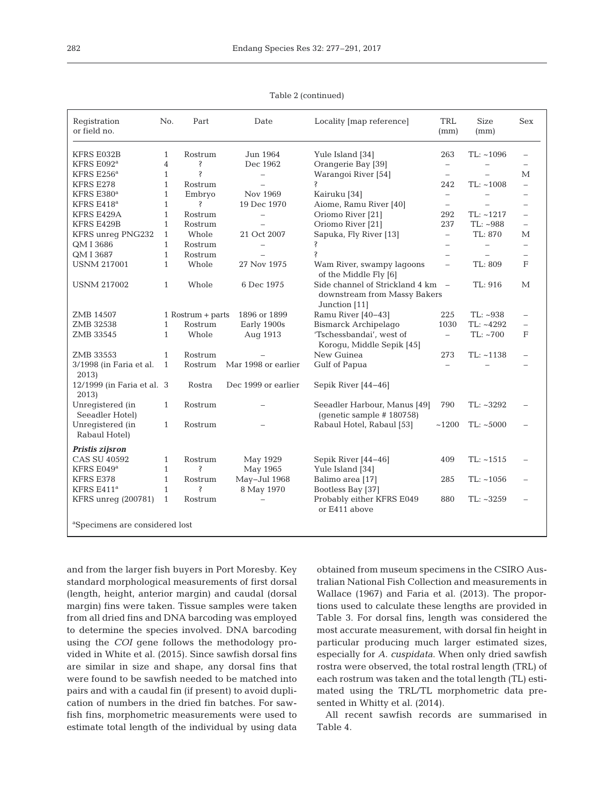| Registration<br>or field no.               | No.            | Part                | Date                     | Locality [map reference]                                                         | TRL<br>(mm)                     | <b>Size</b><br>(mm)      | Sex                      |
|--------------------------------------------|----------------|---------------------|--------------------------|----------------------------------------------------------------------------------|---------------------------------|--------------------------|--------------------------|
| KFRS E032B                                 | $\mathbf{1}$   | Rostrum             | Jun 1964                 | Yule Island [34]                                                                 | 263                             | $TL: ~ -1096$            |                          |
| KFRS E092 <sup>a</sup>                     | $\overline{4}$ | Ŝ                   | Dec 1962                 | Orangerie Bay [39]                                                               | $\overline{\phantom{a}}$        | $\qquad \qquad -$        |                          |
| KFRS $E256^a$                              | $\mathbf{1}$   | Ŝ                   | $\qquad \qquad -$        | Warangoi River [54]                                                              | $\equiv$                        | $\equiv$                 | М                        |
| KFRS E278                                  | $\mathbf{1}$   | Rostrum             |                          |                                                                                  | 242                             | $TL: ~ -1008$            |                          |
| KFRS E380 <sup>a</sup>                     | $\mathbf{1}$   | Embryo              | Nov 1969                 | Kairuku [34]                                                                     | $\overline{\phantom{m}}$        | $\overline{\phantom{0}}$ |                          |
| KFRS $E418^a$                              | $\mathbf{1}$   | S                   | 19 Dec 1970              | Aiome, Ramu River [40]                                                           | $\overline{\phantom{m}}$        |                          |                          |
| KFRS E429A                                 | $\mathbf{1}$   | Rostrum             | $\overline{\phantom{a}}$ | Oriomo River [21]                                                                | 292                             | $TL: ~ -1217$            | $\equiv$                 |
| KFRS E429B                                 | $\mathbf{1}$   | Rostrum             | $\overline{\phantom{0}}$ | Oriomo River [21]                                                                | 237                             | TL: ~988                 |                          |
| KFRS unreg PNG232                          | $\mathbf{1}$   | Whole               | 21 Oct 2007              | Sapuka, Fly River [13]                                                           | $\overline{\phantom{a}}$        | TL: 870                  | М                        |
| QM I 3686                                  | $\mathbf{1}$   | Rostrum             | $\equiv$                 | Ŝ                                                                                | $\equiv$                        | $\equiv$                 |                          |
|                                            | $\mathbf{1}$   |                     |                          | S                                                                                |                                 |                          |                          |
| QM I 3687                                  |                | Rostrum             |                          |                                                                                  | $\overline{\phantom{m}}$        | $\overline{\phantom{0}}$ | $\overline{\phantom{0}}$ |
| <b>USNM 217001</b>                         | $\mathbf{1}$   | Whole               | 27 Nov 1975              | Wam River, swampy lagoons<br>of the Middle Fly [6]                               | $\overline{\phantom{m}}$        | TL: 809                  | F                        |
| <b>USNM 217002</b>                         | $\mathbf{1}$   | Whole               | 6 Dec 1975               | Side channel of Strickland 4 km<br>downstream from Massy Bakers<br>Junction [11] | $\hspace{0.1mm}-\hspace{0.1mm}$ | TL: 916                  | М                        |
| ZMB 14507                                  |                | $1$ Rostrum + parts | 1896 or 1899             | Ramu River [40-43]                                                               | 225                             | $TL: ~ -938$             |                          |
| ZMB 32538                                  | $\mathbf{1}$   | Rostrum             | Early 1900s              | Bismarck Archipelago                                                             | 1030                            | TL: ~4292                |                          |
| ZMB 33545                                  | $\mathbf{1}$   | Whole               | Aug 1913                 | 'Tschessbandai', west of                                                         | $\overline{\phantom{0}}$        | TL: ~700                 | F                        |
|                                            |                |                     |                          | Koroqu, Middle Sepik [45]                                                        |                                 |                          |                          |
| ZMB 33553                                  | $\mathbf{1}$   | Rostrum             |                          | New Guinea                                                                       | 273                             | $TL: ~ -1138$            |                          |
| 3/1998 (in Faria et al.                    | $\mathbf{1}$   | Rostrum             | Mar 1998 or earlier      | Gulf of Papua                                                                    | $\overline{\phantom{0}}$        |                          |                          |
| 2013)                                      |                |                     |                          |                                                                                  |                                 |                          |                          |
| 12/1999 (in Faria et al. 3)<br>2013)       |                | Rostra              | Dec 1999 or earlier      | Sepik River [44-46]                                                              |                                 |                          |                          |
| Unregistered (in<br>Seeadler Hotel)        | $\mathbf{1}$   | Rostrum             |                          | Seeadler Harbour, Manus [49]<br>(qenetic sample $# 180758$ )                     | 790                             | TL: ~3292                |                          |
| Unregistered (in<br>Rabaul Hotel)          | $\mathbf{1}$   | Rostrum             |                          | Rabaul Hotel, Rabaul [53]                                                        | ~1200                           | TL: ~5000                |                          |
| Pristis zijsron                            |                |                     |                          |                                                                                  |                                 |                          |                          |
| <b>CAS SU 40592</b>                        | $\mathbf{1}$   | Rostrum             | May 1929                 | Sepik River [44-46]                                                              | 409                             | $TL: ~ -1515$            |                          |
| KFRS E049 <sup>a</sup>                     | $\mathbf{1}$   | Ŝ                   | May 1965                 | Yule Island [34]                                                                 |                                 |                          |                          |
| KFRS E378                                  | $\mathbf{1}$   | Rostrum             | May-Jul 1968             | Balimo area [17]                                                                 | 285                             | TL: ~1056                |                          |
| KFRS $E411^a$                              | $\mathbf{1}$   | S                   | 8 May 1970               | Bootless Bay [37]                                                                |                                 |                          |                          |
| KFRS unreg (200781)                        | $\mathbf{1}$   | Rostrum             | $\overline{\phantom{0}}$ | Probably either KFRS E049<br>or E411 above                                       | 880                             | $TL: ~ -3259$            |                          |
| <sup>a</sup> Specimens are considered lost |                |                     |                          |                                                                                  |                                 |                          |                          |

Table 2 (continued)

and from the larger fish buyers in Port Moresby. Key standard morphological measurements of first dorsal (length, height, anterior margin) and caudal (dorsal margin) fins were taken. Tissue samples were taken from all dried fins and DNA barcoding was employed to determine the species involved. DNA barcoding using the *COI* gene follows the methodology provided in White et al. (2015). Since sawfish dorsal fins are similar in size and shape, any dorsal fins that were found to be sawfish needed to be matched into pairs and with a caudal fin (if present) to avoid duplication of numbers in the dried fin batches. For sawfish fins, morphometric measurements were used to estimate total length of the individual by using data obtained from museum specimens in the CSIRO Australian National Fish Collection and measurements in Wallace (1967) and Faria et al. (2013). The proportions used to calculate these lengths are provided in Table 3. For dorsal fins, length was considered the most accurate measurement, with dorsal fin height in particular producing much larger estimated sizes, especially for *A. cuspidata*. When only dried sawfish rostra were observed, the total rostral length (TRL) of each rostrum was taken and the total length (TL) estimated using the TRL/TL morphometric data presented in Whitty et al. (2014).

All recent sawfish records are summarised in Table 4.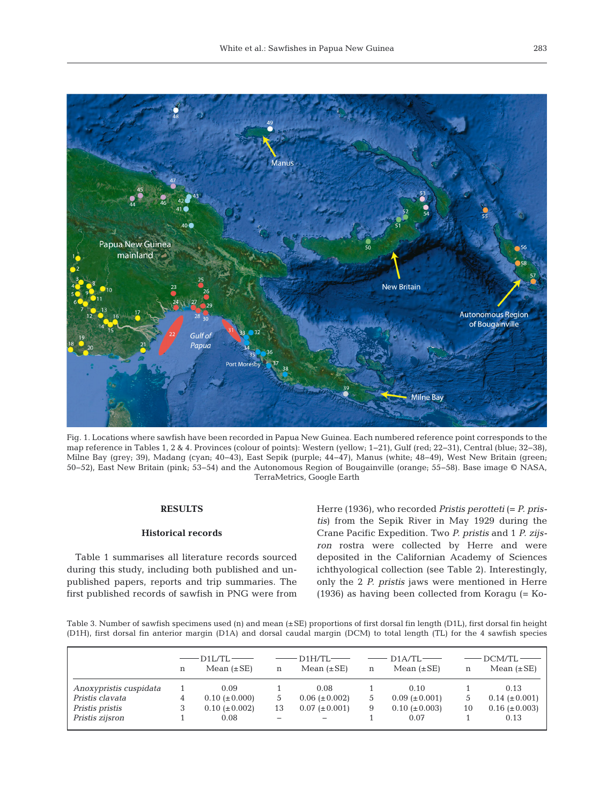

Fig. 1. Locations where sawfish have been recorded in Papua New Guinea. Each numbered reference point corresponds to the map reference in Tables 1, 2 & 4. Provinces (colour of points): Western (yellow; 1−21), Gulf (red; 22−31), Central (blue; 32−38), Milne Bay (grey; 39), Madang (cyan; 40−43), East Sepik (purple; 44−47), Manus (white; 48−49), West New Britain (green; 50−52), East New Britain (pink; 53−54) and the Autonomous Region of Bougainville (orange; 55−58). Base image © NASA, TerraMetrics, Google Earth

## **RESULTS**

## **Historical records**

Table 1 summarises all literature records sourced during this study, including both published and unpublished papers, reports and trip summaries. The first published records of sawfish in PNG were from Herre (1936), who recorded *Pristis perotteti* (= *P. pristis*) from the Sepik River in May 1929 during the Crane Pacific Expedition. Two *P. pristis* and 1 *P. zijsron* rostra were collected by Herre and were deposited in the Californian Academy of Sciences ichthyological collection (see Table 2). Interestingly, only the 2 *P. pristis* jaws were mentioned in Herre (1936) as having been collected from Koragu (= Ko -

Table 3. Number of sawfish specimens used (n) and mean (±SE) proportions of first dorsal fin length (D1L), first dorsal fin height (D1H), first dorsal fin anterior margin (D1A) and dorsal caudal margin (DCM) to total length (TL) for the 4 sawfish species

|                        | n | D1L/TL-<br>Mean $(\pm SE)$ | n  | $D1H/TI -$<br>Mean $(\pm SE)$ | $\mathbf n$   | $D1A/TL$ —<br>Mean $(\pm SE)$ |    | $DCM/TL$ —<br>Mean $(\pm SE)$ |
|------------------------|---|----------------------------|----|-------------------------------|---------------|-------------------------------|----|-------------------------------|
| Anoxypristis cuspidata |   | 0.09                       |    | 0.08                          |               | 0.10                          |    | 0.13                          |
| Pristis clavata        |   | $0.10~(\pm 0.000)$         |    | $0.06 (\pm 0.002)$            | $\mathcal{L}$ | $0.09 \ (\pm 0.001)$          |    | $0.14~(\pm 0.001)$            |
| Pristis pristis        |   | $0.10~(\pm 0.002)$         | 13 | $0.07 (\pm 0.001)$            | 9             | $0.10~(\pm 0.003)$            | 10 | $0.16 (\pm 0.003)$            |
| Pristis zijsron        |   | 0.08                       |    |                               |               | 0.07                          |    | 0.13                          |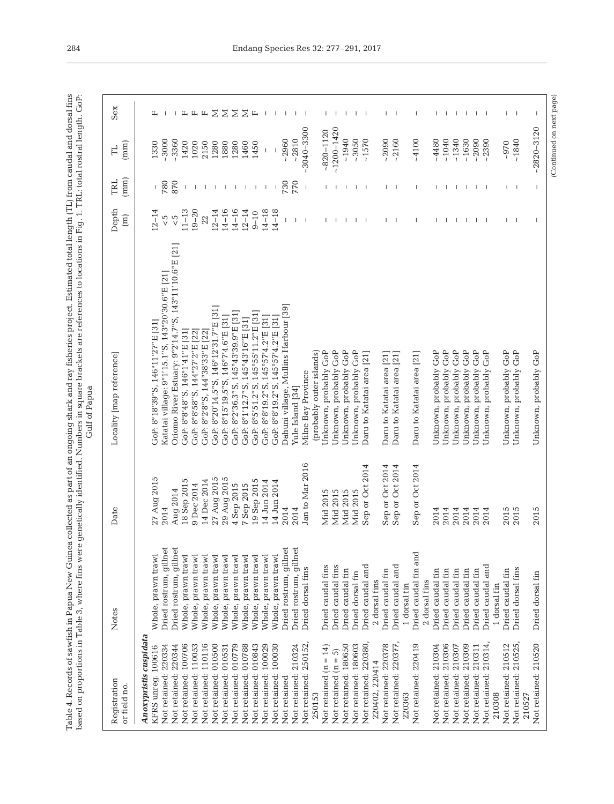Table 4. Records of sawfish in Papua New Guinea collected as part of an ongoing shark and ray fisheries project. Estimated total length (TL) from caudal and dorsal fins<br>based on proportions in Table 3, where fins were gene Table 4. Records of sawfish in Papua New Guinea collected as part of an ongoing shark and ray fisheries project. Estimated total length (TL) from caudal and dorsal fins based on proportions in Table 3, where fins were genetically identified. Numbers in square brackets are references to locations in Fig. 1. TRL: total rostral length. GoP:

| $\geq$<br>$\Sigma$<br>Σ<br>Σ<br>$\Box$<br>ц ц<br>$\mathbb{L}$<br>щ<br>$\mathbf{I}$<br>L<br>$\overline{\phantom{a}}$<br>-1<br>Τ.<br>$\mathbf{I}$<br>$\overline{\phantom{a}}$<br>Τ.<br>$-2820 - 3120$<br>$-3040 - 3300$<br>$~1200 - 1420$<br>$-820 - 1120$<br>$-2810$<br>~1940<br>$-3050$<br>~1630<br>$-2960$<br>~1570<br>$-2090$<br>~1040<br>~1340<br>$-2090$<br>~1840<br>$-2160$<br>$-4100$<br>$-4480$<br>$-3000$<br>$-3360$<br>$-2390$<br>1420<br>$-970$<br>1330<br>1020<br>2150<br>1280<br>1460<br>1450<br>1880<br>1280<br>870<br>780<br>770<br>730<br>$\mathbf{I}$<br>$\overline{\phantom{a}}$<br>- 1<br>-1<br>-1<br>$\mathbf{I}$<br>- 11<br>Τ.<br>т<br>$\mathbf{L}$<br>$\overline{\phantom{a}}$<br>$\mathbf{I}$<br>$\mathbf{L}$<br>$14 - 16$<br>$11 - 13$<br>$19 - 20$<br>$14 - 16$<br>$12 - 14$<br>$14 - 18$<br>$14 - 18$<br>$12 - 14$<br>$12 - 14$<br>$9 - 10$<br>$\frac{5}{5}$<br>$\frac{c}{\sqrt{2}}$<br>22<br>$\mathbf{I}$<br>$\overline{\phantom{a}}$<br>$\blacksquare$<br>$\mathbf{L}$<br>$\overline{\phantom{a}}$<br>T<br>$\mathbf{I}$<br>$\mathbf{I}$<br>$\mathbf{I}$<br>-1<br>$\mathbf{L}$<br>$\blacksquare$<br>Oriomo River Estuary: 9°2'14.7" S, 143°11'10.6" E [21]<br>Katatai village: 9°1'15.1"S, 143°20'30.6"E [21]<br>Dahuni village, Mullins Harbour [39]<br>GoP: 8°20'14.5"S, 146°12'31.7"E [31]<br>GoP: 8°5'51.2"S, 145°55'11.2"E [31]<br>GoP: 8°2'36.3"S, 145°43'39.9"E [31]<br>GoP: 8°15'19.5"S, 146°7'4.6"E [31]<br>GoP: 8°8'19.2"S, 145°57'4.2"E [31]<br>GoP: 8°8'19.2" S, 145°57'4.2" E [31]<br>GoP: 8°1'12.7"S, 145°43'16"E [31]<br>GoP: 8°18'39"S, 146°11'27"E [31]<br>GoP: 8°2'8"S, 144°38'33"E [22]<br>GoP: 8°8'48"S, 146°1'41"E [31]<br>GoP: 8°8'58"S, 144°27'2"E [22]<br>Unknown, probably GoP<br>Unknown, probably GoP<br>Unknown, probably GoP<br>Unknown, probably GoP<br>Unknown, probably GoP<br>Unknown, probably GoP<br>Unknown, probably GoP<br>Jnknown, probably GoP<br>Unknown, probably GoP<br>Unknown, probably GoP<br>Unknown, probably GoP<br>Unknown, probably GoP<br>(probably outer islands)<br>Jnknown, probably GoP<br>Daru to Katatai area [21]<br>Daru to Katatai area [21]<br>Daru to Katatai area [21]<br>Daru to Katatai area [21]<br>Milne Bay Province<br>Yule Island [34]<br>Jan to Mar 2016<br>Sep or Oct 2014<br>Sep or Oct 2014<br>Sep or Oct 2014<br>Sep or Oct 2014<br>29 Aug 2015<br>27 Aug 2015<br>27 Aug 2015<br>14 Dec 2014<br>19 Sep 2015<br>18 Sep 2015<br>14 Jun 2014<br>14 Jun 2014<br>4 Sep 2015<br>7 Sep 2015<br>9 Dec 2014<br>Aug 2014<br>Mid 2015<br>Mid 2015<br>Mid 2015<br>Mid 2015<br>2014<br>2014<br>2015<br>2015<br>2015<br>2014<br>2014<br>2014<br>2014<br>2014<br>2014<br>2014<br>Dried rostrum, gillnet<br>Dried rostrum, gillnet<br>Dried rostrum, gillnet<br>Dried rostrum, gillnet<br>Dried caudal fin and<br>Whole, prawn trawl<br>Whole, prawn trawl<br>Whole, prawn trawl<br>Whole, prawn trawl<br>Whole, prawn trawl<br>Whole, prawn trawl<br>Whole, prawn trawl<br>Whole, prawn trawl<br>Whole, prawn trawl<br>Whole, prawn trawl<br>Whole, prawn trawl<br>Dried caudal fins<br>Dried caudal fins<br>Dried caudal and<br>Dried caudal and<br>Dried caudal and<br>Dried dorsal fins<br>Dried dorsal fins<br>Dried caudal fin<br>Dried caudal fin<br>Dried caudal fin<br>Dried caudal fin<br>Dried caudal fin<br>Dried caudal fin<br>Dried caudal fin<br>Dried caudal fin<br>Dried dorsal fin<br>Dried dorsal fin<br>2 dorsal fins<br>2 dorsal fins<br>1 dorsal fin<br>1 dorsal fin<br>Anoxypristis cuspidata<br>Not retained: 210525,<br>Not retained: 250152,<br>Not retained: 220380,<br>Not retained: 210314<br>Not retained: 110116<br>Not retained: 220378<br>Not retained: 220377<br>Not retained: 210512<br>Not retained: 220344<br>Not retained: 100706<br>Not retained: 110053<br>Not retained: 010779<br>Not retained: 010843<br>Not retained: 210324<br>Not retained: 180650<br>Not retained: 180603<br>Not retained: 220419<br>Not retained: 210304<br>Not retained: 210306<br>Not retained: 210309<br>Not retained: 210520<br>Not retained: 220334<br>Not retained: 010500<br>Not retained: 010531<br>Not retained: 010788<br>Not retained: 100029<br>Not retained: 100030<br>Not retained: 210307<br>Not retained: 210311<br>KFRS unreg. 100616<br>Not retained $(n = 14)$<br>Not retained $(n = 5)$<br>220402, 220414<br>Not retained<br>210308<br>250153<br>220363<br>210527 | Registration<br>or field no. | Notes | Date | Locality [map reference] | Depth<br>$\begin{bmatrix} 1 \\ 1 \end{bmatrix}$ | $(\text{mm})$<br>TRL | $(\text{mm})$<br>吕 | Sex |
|--------------------------------------------------------------------------------------------------------------------------------------------------------------------------------------------------------------------------------------------------------------------------------------------------------------------------------------------------------------------------------------------------------------------------------------------------------------------------------------------------------------------------------------------------------------------------------------------------------------------------------------------------------------------------------------------------------------------------------------------------------------------------------------------------------------------------------------------------------------------------------------------------------------------------------------------------------------------------------------------------------------------------------------------------------------------------------------------------------------------------------------------------------------------------------------------------------------------------------------------------------------------------------------------------------------------------------------------------------------------------------------------------------------------------------------------------------------------------------------------------------------------------------------------------------------------------------------------------------------------------------------------------------------------------------------------------------------------------------------------------------------------------------------------------------------------------------------------------------------------------------------------------------------------------------------------------------------------------------------------------------------------------------------------------------------------------------------------------------------------------------------------------------------------------------------------------------------------------------------------------------------------------------------------------------------------------------------------------------------------------------------------------------------------------------------------------------------------------------------------------------------------------------------------------------------------------------------------------------------------------------------------------------------------------------------------------------------------------------------------------------------------------------------------------------------------------------------------------------------------------------------------------------------------------------------------------------------------------------------------------------------------------------------------------------------------------------------------------------------------------------------------------------------------------------------------------------------------------------------------------------------------------------------------------------------------------------------------------------------------------------------------------------------------------------------------------------------------------------------------------------------------------------------------------------------------------------------------------------------------------------------------------------------------------------------------------------------------------------------------------------------------------------------------------------------------------------------------------------------------------------------------------------------------------------------------------------------------------------------------------------------------------------------------------------------------------------------------------------------------------------------------------------------------------------------------------------------------------------------------------------------------------------------------------------------------------------------------------------------------------------------------|------------------------------|-------|------|--------------------------|-------------------------------------------------|----------------------|--------------------|-----|
|                                                                                                                                                                                                                                                                                                                                                                                                                                                                                                                                                                                                                                                                                                                                                                                                                                                                                                                                                                                                                                                                                                                                                                                                                                                                                                                                                                                                                                                                                                                                                                                                                                                                                                                                                                                                                                                                                                                                                                                                                                                                                                                                                                                                                                                                                                                                                                                                                                                                                                                                                                                                                                                                                                                                                                                                                                                                                                                                                                                                                                                                                                                                                                                                                                                                                                                                                                                                                                                                                                                                                                                                                                                                                                                                                                                                                                                                                                                                                                                                                                                                                                                                                                                                                                                                                                                                                                                            |                              |       |      |                          |                                                 |                      |                    |     |
|                                                                                                                                                                                                                                                                                                                                                                                                                                                                                                                                                                                                                                                                                                                                                                                                                                                                                                                                                                                                                                                                                                                                                                                                                                                                                                                                                                                                                                                                                                                                                                                                                                                                                                                                                                                                                                                                                                                                                                                                                                                                                                                                                                                                                                                                                                                                                                                                                                                                                                                                                                                                                                                                                                                                                                                                                                                                                                                                                                                                                                                                                                                                                                                                                                                                                                                                                                                                                                                                                                                                                                                                                                                                                                                                                                                                                                                                                                                                                                                                                                                                                                                                                                                                                                                                                                                                                                                            |                              |       |      |                          |                                                 |                      |                    |     |
|                                                                                                                                                                                                                                                                                                                                                                                                                                                                                                                                                                                                                                                                                                                                                                                                                                                                                                                                                                                                                                                                                                                                                                                                                                                                                                                                                                                                                                                                                                                                                                                                                                                                                                                                                                                                                                                                                                                                                                                                                                                                                                                                                                                                                                                                                                                                                                                                                                                                                                                                                                                                                                                                                                                                                                                                                                                                                                                                                                                                                                                                                                                                                                                                                                                                                                                                                                                                                                                                                                                                                                                                                                                                                                                                                                                                                                                                                                                                                                                                                                                                                                                                                                                                                                                                                                                                                                                            |                              |       |      |                          |                                                 |                      |                    |     |
|                                                                                                                                                                                                                                                                                                                                                                                                                                                                                                                                                                                                                                                                                                                                                                                                                                                                                                                                                                                                                                                                                                                                                                                                                                                                                                                                                                                                                                                                                                                                                                                                                                                                                                                                                                                                                                                                                                                                                                                                                                                                                                                                                                                                                                                                                                                                                                                                                                                                                                                                                                                                                                                                                                                                                                                                                                                                                                                                                                                                                                                                                                                                                                                                                                                                                                                                                                                                                                                                                                                                                                                                                                                                                                                                                                                                                                                                                                                                                                                                                                                                                                                                                                                                                                                                                                                                                                                            |                              |       |      |                          |                                                 |                      |                    |     |
|                                                                                                                                                                                                                                                                                                                                                                                                                                                                                                                                                                                                                                                                                                                                                                                                                                                                                                                                                                                                                                                                                                                                                                                                                                                                                                                                                                                                                                                                                                                                                                                                                                                                                                                                                                                                                                                                                                                                                                                                                                                                                                                                                                                                                                                                                                                                                                                                                                                                                                                                                                                                                                                                                                                                                                                                                                                                                                                                                                                                                                                                                                                                                                                                                                                                                                                                                                                                                                                                                                                                                                                                                                                                                                                                                                                                                                                                                                                                                                                                                                                                                                                                                                                                                                                                                                                                                                                            |                              |       |      |                          |                                                 |                      |                    |     |
|                                                                                                                                                                                                                                                                                                                                                                                                                                                                                                                                                                                                                                                                                                                                                                                                                                                                                                                                                                                                                                                                                                                                                                                                                                                                                                                                                                                                                                                                                                                                                                                                                                                                                                                                                                                                                                                                                                                                                                                                                                                                                                                                                                                                                                                                                                                                                                                                                                                                                                                                                                                                                                                                                                                                                                                                                                                                                                                                                                                                                                                                                                                                                                                                                                                                                                                                                                                                                                                                                                                                                                                                                                                                                                                                                                                                                                                                                                                                                                                                                                                                                                                                                                                                                                                                                                                                                                                            |                              |       |      |                          |                                                 |                      |                    |     |
|                                                                                                                                                                                                                                                                                                                                                                                                                                                                                                                                                                                                                                                                                                                                                                                                                                                                                                                                                                                                                                                                                                                                                                                                                                                                                                                                                                                                                                                                                                                                                                                                                                                                                                                                                                                                                                                                                                                                                                                                                                                                                                                                                                                                                                                                                                                                                                                                                                                                                                                                                                                                                                                                                                                                                                                                                                                                                                                                                                                                                                                                                                                                                                                                                                                                                                                                                                                                                                                                                                                                                                                                                                                                                                                                                                                                                                                                                                                                                                                                                                                                                                                                                                                                                                                                                                                                                                                            |                              |       |      |                          |                                                 |                      |                    |     |
|                                                                                                                                                                                                                                                                                                                                                                                                                                                                                                                                                                                                                                                                                                                                                                                                                                                                                                                                                                                                                                                                                                                                                                                                                                                                                                                                                                                                                                                                                                                                                                                                                                                                                                                                                                                                                                                                                                                                                                                                                                                                                                                                                                                                                                                                                                                                                                                                                                                                                                                                                                                                                                                                                                                                                                                                                                                                                                                                                                                                                                                                                                                                                                                                                                                                                                                                                                                                                                                                                                                                                                                                                                                                                                                                                                                                                                                                                                                                                                                                                                                                                                                                                                                                                                                                                                                                                                                            |                              |       |      |                          |                                                 |                      |                    |     |
|                                                                                                                                                                                                                                                                                                                                                                                                                                                                                                                                                                                                                                                                                                                                                                                                                                                                                                                                                                                                                                                                                                                                                                                                                                                                                                                                                                                                                                                                                                                                                                                                                                                                                                                                                                                                                                                                                                                                                                                                                                                                                                                                                                                                                                                                                                                                                                                                                                                                                                                                                                                                                                                                                                                                                                                                                                                                                                                                                                                                                                                                                                                                                                                                                                                                                                                                                                                                                                                                                                                                                                                                                                                                                                                                                                                                                                                                                                                                                                                                                                                                                                                                                                                                                                                                                                                                                                                            |                              |       |      |                          |                                                 |                      |                    |     |
|                                                                                                                                                                                                                                                                                                                                                                                                                                                                                                                                                                                                                                                                                                                                                                                                                                                                                                                                                                                                                                                                                                                                                                                                                                                                                                                                                                                                                                                                                                                                                                                                                                                                                                                                                                                                                                                                                                                                                                                                                                                                                                                                                                                                                                                                                                                                                                                                                                                                                                                                                                                                                                                                                                                                                                                                                                                                                                                                                                                                                                                                                                                                                                                                                                                                                                                                                                                                                                                                                                                                                                                                                                                                                                                                                                                                                                                                                                                                                                                                                                                                                                                                                                                                                                                                                                                                                                                            |                              |       |      |                          |                                                 |                      |                    |     |
|                                                                                                                                                                                                                                                                                                                                                                                                                                                                                                                                                                                                                                                                                                                                                                                                                                                                                                                                                                                                                                                                                                                                                                                                                                                                                                                                                                                                                                                                                                                                                                                                                                                                                                                                                                                                                                                                                                                                                                                                                                                                                                                                                                                                                                                                                                                                                                                                                                                                                                                                                                                                                                                                                                                                                                                                                                                                                                                                                                                                                                                                                                                                                                                                                                                                                                                                                                                                                                                                                                                                                                                                                                                                                                                                                                                                                                                                                                                                                                                                                                                                                                                                                                                                                                                                                                                                                                                            |                              |       |      |                          |                                                 |                      |                    |     |
|                                                                                                                                                                                                                                                                                                                                                                                                                                                                                                                                                                                                                                                                                                                                                                                                                                                                                                                                                                                                                                                                                                                                                                                                                                                                                                                                                                                                                                                                                                                                                                                                                                                                                                                                                                                                                                                                                                                                                                                                                                                                                                                                                                                                                                                                                                                                                                                                                                                                                                                                                                                                                                                                                                                                                                                                                                                                                                                                                                                                                                                                                                                                                                                                                                                                                                                                                                                                                                                                                                                                                                                                                                                                                                                                                                                                                                                                                                                                                                                                                                                                                                                                                                                                                                                                                                                                                                                            |                              |       |      |                          |                                                 |                      |                    |     |
|                                                                                                                                                                                                                                                                                                                                                                                                                                                                                                                                                                                                                                                                                                                                                                                                                                                                                                                                                                                                                                                                                                                                                                                                                                                                                                                                                                                                                                                                                                                                                                                                                                                                                                                                                                                                                                                                                                                                                                                                                                                                                                                                                                                                                                                                                                                                                                                                                                                                                                                                                                                                                                                                                                                                                                                                                                                                                                                                                                                                                                                                                                                                                                                                                                                                                                                                                                                                                                                                                                                                                                                                                                                                                                                                                                                                                                                                                                                                                                                                                                                                                                                                                                                                                                                                                                                                                                                            |                              |       |      |                          |                                                 |                      |                    |     |
|                                                                                                                                                                                                                                                                                                                                                                                                                                                                                                                                                                                                                                                                                                                                                                                                                                                                                                                                                                                                                                                                                                                                                                                                                                                                                                                                                                                                                                                                                                                                                                                                                                                                                                                                                                                                                                                                                                                                                                                                                                                                                                                                                                                                                                                                                                                                                                                                                                                                                                                                                                                                                                                                                                                                                                                                                                                                                                                                                                                                                                                                                                                                                                                                                                                                                                                                                                                                                                                                                                                                                                                                                                                                                                                                                                                                                                                                                                                                                                                                                                                                                                                                                                                                                                                                                                                                                                                            |                              |       |      |                          |                                                 |                      |                    |     |
|                                                                                                                                                                                                                                                                                                                                                                                                                                                                                                                                                                                                                                                                                                                                                                                                                                                                                                                                                                                                                                                                                                                                                                                                                                                                                                                                                                                                                                                                                                                                                                                                                                                                                                                                                                                                                                                                                                                                                                                                                                                                                                                                                                                                                                                                                                                                                                                                                                                                                                                                                                                                                                                                                                                                                                                                                                                                                                                                                                                                                                                                                                                                                                                                                                                                                                                                                                                                                                                                                                                                                                                                                                                                                                                                                                                                                                                                                                                                                                                                                                                                                                                                                                                                                                                                                                                                                                                            |                              |       |      |                          |                                                 |                      |                    |     |
|                                                                                                                                                                                                                                                                                                                                                                                                                                                                                                                                                                                                                                                                                                                                                                                                                                                                                                                                                                                                                                                                                                                                                                                                                                                                                                                                                                                                                                                                                                                                                                                                                                                                                                                                                                                                                                                                                                                                                                                                                                                                                                                                                                                                                                                                                                                                                                                                                                                                                                                                                                                                                                                                                                                                                                                                                                                                                                                                                                                                                                                                                                                                                                                                                                                                                                                                                                                                                                                                                                                                                                                                                                                                                                                                                                                                                                                                                                                                                                                                                                                                                                                                                                                                                                                                                                                                                                                            |                              |       |      |                          |                                                 |                      |                    |     |
|                                                                                                                                                                                                                                                                                                                                                                                                                                                                                                                                                                                                                                                                                                                                                                                                                                                                                                                                                                                                                                                                                                                                                                                                                                                                                                                                                                                                                                                                                                                                                                                                                                                                                                                                                                                                                                                                                                                                                                                                                                                                                                                                                                                                                                                                                                                                                                                                                                                                                                                                                                                                                                                                                                                                                                                                                                                                                                                                                                                                                                                                                                                                                                                                                                                                                                                                                                                                                                                                                                                                                                                                                                                                                                                                                                                                                                                                                                                                                                                                                                                                                                                                                                                                                                                                                                                                                                                            |                              |       |      |                          |                                                 |                      |                    |     |
|                                                                                                                                                                                                                                                                                                                                                                                                                                                                                                                                                                                                                                                                                                                                                                                                                                                                                                                                                                                                                                                                                                                                                                                                                                                                                                                                                                                                                                                                                                                                                                                                                                                                                                                                                                                                                                                                                                                                                                                                                                                                                                                                                                                                                                                                                                                                                                                                                                                                                                                                                                                                                                                                                                                                                                                                                                                                                                                                                                                                                                                                                                                                                                                                                                                                                                                                                                                                                                                                                                                                                                                                                                                                                                                                                                                                                                                                                                                                                                                                                                                                                                                                                                                                                                                                                                                                                                                            |                              |       |      |                          |                                                 |                      |                    |     |
|                                                                                                                                                                                                                                                                                                                                                                                                                                                                                                                                                                                                                                                                                                                                                                                                                                                                                                                                                                                                                                                                                                                                                                                                                                                                                                                                                                                                                                                                                                                                                                                                                                                                                                                                                                                                                                                                                                                                                                                                                                                                                                                                                                                                                                                                                                                                                                                                                                                                                                                                                                                                                                                                                                                                                                                                                                                                                                                                                                                                                                                                                                                                                                                                                                                                                                                                                                                                                                                                                                                                                                                                                                                                                                                                                                                                                                                                                                                                                                                                                                                                                                                                                                                                                                                                                                                                                                                            |                              |       |      |                          |                                                 |                      |                    |     |
|                                                                                                                                                                                                                                                                                                                                                                                                                                                                                                                                                                                                                                                                                                                                                                                                                                                                                                                                                                                                                                                                                                                                                                                                                                                                                                                                                                                                                                                                                                                                                                                                                                                                                                                                                                                                                                                                                                                                                                                                                                                                                                                                                                                                                                                                                                                                                                                                                                                                                                                                                                                                                                                                                                                                                                                                                                                                                                                                                                                                                                                                                                                                                                                                                                                                                                                                                                                                                                                                                                                                                                                                                                                                                                                                                                                                                                                                                                                                                                                                                                                                                                                                                                                                                                                                                                                                                                                            |                              |       |      |                          |                                                 |                      |                    |     |
|                                                                                                                                                                                                                                                                                                                                                                                                                                                                                                                                                                                                                                                                                                                                                                                                                                                                                                                                                                                                                                                                                                                                                                                                                                                                                                                                                                                                                                                                                                                                                                                                                                                                                                                                                                                                                                                                                                                                                                                                                                                                                                                                                                                                                                                                                                                                                                                                                                                                                                                                                                                                                                                                                                                                                                                                                                                                                                                                                                                                                                                                                                                                                                                                                                                                                                                                                                                                                                                                                                                                                                                                                                                                                                                                                                                                                                                                                                                                                                                                                                                                                                                                                                                                                                                                                                                                                                                            |                              |       |      |                          |                                                 |                      |                    |     |
|                                                                                                                                                                                                                                                                                                                                                                                                                                                                                                                                                                                                                                                                                                                                                                                                                                                                                                                                                                                                                                                                                                                                                                                                                                                                                                                                                                                                                                                                                                                                                                                                                                                                                                                                                                                                                                                                                                                                                                                                                                                                                                                                                                                                                                                                                                                                                                                                                                                                                                                                                                                                                                                                                                                                                                                                                                                                                                                                                                                                                                                                                                                                                                                                                                                                                                                                                                                                                                                                                                                                                                                                                                                                                                                                                                                                                                                                                                                                                                                                                                                                                                                                                                                                                                                                                                                                                                                            |                              |       |      |                          |                                                 |                      |                    |     |
|                                                                                                                                                                                                                                                                                                                                                                                                                                                                                                                                                                                                                                                                                                                                                                                                                                                                                                                                                                                                                                                                                                                                                                                                                                                                                                                                                                                                                                                                                                                                                                                                                                                                                                                                                                                                                                                                                                                                                                                                                                                                                                                                                                                                                                                                                                                                                                                                                                                                                                                                                                                                                                                                                                                                                                                                                                                                                                                                                                                                                                                                                                                                                                                                                                                                                                                                                                                                                                                                                                                                                                                                                                                                                                                                                                                                                                                                                                                                                                                                                                                                                                                                                                                                                                                                                                                                                                                            |                              |       |      |                          |                                                 |                      |                    |     |
|                                                                                                                                                                                                                                                                                                                                                                                                                                                                                                                                                                                                                                                                                                                                                                                                                                                                                                                                                                                                                                                                                                                                                                                                                                                                                                                                                                                                                                                                                                                                                                                                                                                                                                                                                                                                                                                                                                                                                                                                                                                                                                                                                                                                                                                                                                                                                                                                                                                                                                                                                                                                                                                                                                                                                                                                                                                                                                                                                                                                                                                                                                                                                                                                                                                                                                                                                                                                                                                                                                                                                                                                                                                                                                                                                                                                                                                                                                                                                                                                                                                                                                                                                                                                                                                                                                                                                                                            |                              |       |      |                          |                                                 |                      |                    |     |
|                                                                                                                                                                                                                                                                                                                                                                                                                                                                                                                                                                                                                                                                                                                                                                                                                                                                                                                                                                                                                                                                                                                                                                                                                                                                                                                                                                                                                                                                                                                                                                                                                                                                                                                                                                                                                                                                                                                                                                                                                                                                                                                                                                                                                                                                                                                                                                                                                                                                                                                                                                                                                                                                                                                                                                                                                                                                                                                                                                                                                                                                                                                                                                                                                                                                                                                                                                                                                                                                                                                                                                                                                                                                                                                                                                                                                                                                                                                                                                                                                                                                                                                                                                                                                                                                                                                                                                                            |                              |       |      |                          |                                                 |                      |                    |     |
|                                                                                                                                                                                                                                                                                                                                                                                                                                                                                                                                                                                                                                                                                                                                                                                                                                                                                                                                                                                                                                                                                                                                                                                                                                                                                                                                                                                                                                                                                                                                                                                                                                                                                                                                                                                                                                                                                                                                                                                                                                                                                                                                                                                                                                                                                                                                                                                                                                                                                                                                                                                                                                                                                                                                                                                                                                                                                                                                                                                                                                                                                                                                                                                                                                                                                                                                                                                                                                                                                                                                                                                                                                                                                                                                                                                                                                                                                                                                                                                                                                                                                                                                                                                                                                                                                                                                                                                            |                              |       |      |                          |                                                 |                      |                    |     |
|                                                                                                                                                                                                                                                                                                                                                                                                                                                                                                                                                                                                                                                                                                                                                                                                                                                                                                                                                                                                                                                                                                                                                                                                                                                                                                                                                                                                                                                                                                                                                                                                                                                                                                                                                                                                                                                                                                                                                                                                                                                                                                                                                                                                                                                                                                                                                                                                                                                                                                                                                                                                                                                                                                                                                                                                                                                                                                                                                                                                                                                                                                                                                                                                                                                                                                                                                                                                                                                                                                                                                                                                                                                                                                                                                                                                                                                                                                                                                                                                                                                                                                                                                                                                                                                                                                                                                                                            |                              |       |      |                          |                                                 |                      |                    |     |
|                                                                                                                                                                                                                                                                                                                                                                                                                                                                                                                                                                                                                                                                                                                                                                                                                                                                                                                                                                                                                                                                                                                                                                                                                                                                                                                                                                                                                                                                                                                                                                                                                                                                                                                                                                                                                                                                                                                                                                                                                                                                                                                                                                                                                                                                                                                                                                                                                                                                                                                                                                                                                                                                                                                                                                                                                                                                                                                                                                                                                                                                                                                                                                                                                                                                                                                                                                                                                                                                                                                                                                                                                                                                                                                                                                                                                                                                                                                                                                                                                                                                                                                                                                                                                                                                                                                                                                                            |                              |       |      |                          |                                                 |                      |                    |     |
|                                                                                                                                                                                                                                                                                                                                                                                                                                                                                                                                                                                                                                                                                                                                                                                                                                                                                                                                                                                                                                                                                                                                                                                                                                                                                                                                                                                                                                                                                                                                                                                                                                                                                                                                                                                                                                                                                                                                                                                                                                                                                                                                                                                                                                                                                                                                                                                                                                                                                                                                                                                                                                                                                                                                                                                                                                                                                                                                                                                                                                                                                                                                                                                                                                                                                                                                                                                                                                                                                                                                                                                                                                                                                                                                                                                                                                                                                                                                                                                                                                                                                                                                                                                                                                                                                                                                                                                            |                              |       |      |                          |                                                 |                      |                    |     |
|                                                                                                                                                                                                                                                                                                                                                                                                                                                                                                                                                                                                                                                                                                                                                                                                                                                                                                                                                                                                                                                                                                                                                                                                                                                                                                                                                                                                                                                                                                                                                                                                                                                                                                                                                                                                                                                                                                                                                                                                                                                                                                                                                                                                                                                                                                                                                                                                                                                                                                                                                                                                                                                                                                                                                                                                                                                                                                                                                                                                                                                                                                                                                                                                                                                                                                                                                                                                                                                                                                                                                                                                                                                                                                                                                                                                                                                                                                                                                                                                                                                                                                                                                                                                                                                                                                                                                                                            |                              |       |      |                          |                                                 |                      |                    |     |
|                                                                                                                                                                                                                                                                                                                                                                                                                                                                                                                                                                                                                                                                                                                                                                                                                                                                                                                                                                                                                                                                                                                                                                                                                                                                                                                                                                                                                                                                                                                                                                                                                                                                                                                                                                                                                                                                                                                                                                                                                                                                                                                                                                                                                                                                                                                                                                                                                                                                                                                                                                                                                                                                                                                                                                                                                                                                                                                                                                                                                                                                                                                                                                                                                                                                                                                                                                                                                                                                                                                                                                                                                                                                                                                                                                                                                                                                                                                                                                                                                                                                                                                                                                                                                                                                                                                                                                                            |                              |       |      |                          |                                                 |                      |                    |     |
|                                                                                                                                                                                                                                                                                                                                                                                                                                                                                                                                                                                                                                                                                                                                                                                                                                                                                                                                                                                                                                                                                                                                                                                                                                                                                                                                                                                                                                                                                                                                                                                                                                                                                                                                                                                                                                                                                                                                                                                                                                                                                                                                                                                                                                                                                                                                                                                                                                                                                                                                                                                                                                                                                                                                                                                                                                                                                                                                                                                                                                                                                                                                                                                                                                                                                                                                                                                                                                                                                                                                                                                                                                                                                                                                                                                                                                                                                                                                                                                                                                                                                                                                                                                                                                                                                                                                                                                            |                              |       |      |                          |                                                 |                      |                    |     |
|                                                                                                                                                                                                                                                                                                                                                                                                                                                                                                                                                                                                                                                                                                                                                                                                                                                                                                                                                                                                                                                                                                                                                                                                                                                                                                                                                                                                                                                                                                                                                                                                                                                                                                                                                                                                                                                                                                                                                                                                                                                                                                                                                                                                                                                                                                                                                                                                                                                                                                                                                                                                                                                                                                                                                                                                                                                                                                                                                                                                                                                                                                                                                                                                                                                                                                                                                                                                                                                                                                                                                                                                                                                                                                                                                                                                                                                                                                                                                                                                                                                                                                                                                                                                                                                                                                                                                                                            |                              |       |      |                          |                                                 |                      |                    |     |
|                                                                                                                                                                                                                                                                                                                                                                                                                                                                                                                                                                                                                                                                                                                                                                                                                                                                                                                                                                                                                                                                                                                                                                                                                                                                                                                                                                                                                                                                                                                                                                                                                                                                                                                                                                                                                                                                                                                                                                                                                                                                                                                                                                                                                                                                                                                                                                                                                                                                                                                                                                                                                                                                                                                                                                                                                                                                                                                                                                                                                                                                                                                                                                                                                                                                                                                                                                                                                                                                                                                                                                                                                                                                                                                                                                                                                                                                                                                                                                                                                                                                                                                                                                                                                                                                                                                                                                                            |                              |       |      |                          |                                                 |                      |                    |     |
|                                                                                                                                                                                                                                                                                                                                                                                                                                                                                                                                                                                                                                                                                                                                                                                                                                                                                                                                                                                                                                                                                                                                                                                                                                                                                                                                                                                                                                                                                                                                                                                                                                                                                                                                                                                                                                                                                                                                                                                                                                                                                                                                                                                                                                                                                                                                                                                                                                                                                                                                                                                                                                                                                                                                                                                                                                                                                                                                                                                                                                                                                                                                                                                                                                                                                                                                                                                                                                                                                                                                                                                                                                                                                                                                                                                                                                                                                                                                                                                                                                                                                                                                                                                                                                                                                                                                                                                            |                              |       |      |                          |                                                 |                      |                    |     |
|                                                                                                                                                                                                                                                                                                                                                                                                                                                                                                                                                                                                                                                                                                                                                                                                                                                                                                                                                                                                                                                                                                                                                                                                                                                                                                                                                                                                                                                                                                                                                                                                                                                                                                                                                                                                                                                                                                                                                                                                                                                                                                                                                                                                                                                                                                                                                                                                                                                                                                                                                                                                                                                                                                                                                                                                                                                                                                                                                                                                                                                                                                                                                                                                                                                                                                                                                                                                                                                                                                                                                                                                                                                                                                                                                                                                                                                                                                                                                                                                                                                                                                                                                                                                                                                                                                                                                                                            |                              |       |      |                          |                                                 |                      |                    |     |
|                                                                                                                                                                                                                                                                                                                                                                                                                                                                                                                                                                                                                                                                                                                                                                                                                                                                                                                                                                                                                                                                                                                                                                                                                                                                                                                                                                                                                                                                                                                                                                                                                                                                                                                                                                                                                                                                                                                                                                                                                                                                                                                                                                                                                                                                                                                                                                                                                                                                                                                                                                                                                                                                                                                                                                                                                                                                                                                                                                                                                                                                                                                                                                                                                                                                                                                                                                                                                                                                                                                                                                                                                                                                                                                                                                                                                                                                                                                                                                                                                                                                                                                                                                                                                                                                                                                                                                                            |                              |       |      |                          |                                                 |                      |                    |     |
|                                                                                                                                                                                                                                                                                                                                                                                                                                                                                                                                                                                                                                                                                                                                                                                                                                                                                                                                                                                                                                                                                                                                                                                                                                                                                                                                                                                                                                                                                                                                                                                                                                                                                                                                                                                                                                                                                                                                                                                                                                                                                                                                                                                                                                                                                                                                                                                                                                                                                                                                                                                                                                                                                                                                                                                                                                                                                                                                                                                                                                                                                                                                                                                                                                                                                                                                                                                                                                                                                                                                                                                                                                                                                                                                                                                                                                                                                                                                                                                                                                                                                                                                                                                                                                                                                                                                                                                            |                              |       |      |                          |                                                 |                      |                    |     |
|                                                                                                                                                                                                                                                                                                                                                                                                                                                                                                                                                                                                                                                                                                                                                                                                                                                                                                                                                                                                                                                                                                                                                                                                                                                                                                                                                                                                                                                                                                                                                                                                                                                                                                                                                                                                                                                                                                                                                                                                                                                                                                                                                                                                                                                                                                                                                                                                                                                                                                                                                                                                                                                                                                                                                                                                                                                                                                                                                                                                                                                                                                                                                                                                                                                                                                                                                                                                                                                                                                                                                                                                                                                                                                                                                                                                                                                                                                                                                                                                                                                                                                                                                                                                                                                                                                                                                                                            |                              |       |      |                          |                                                 |                      |                    |     |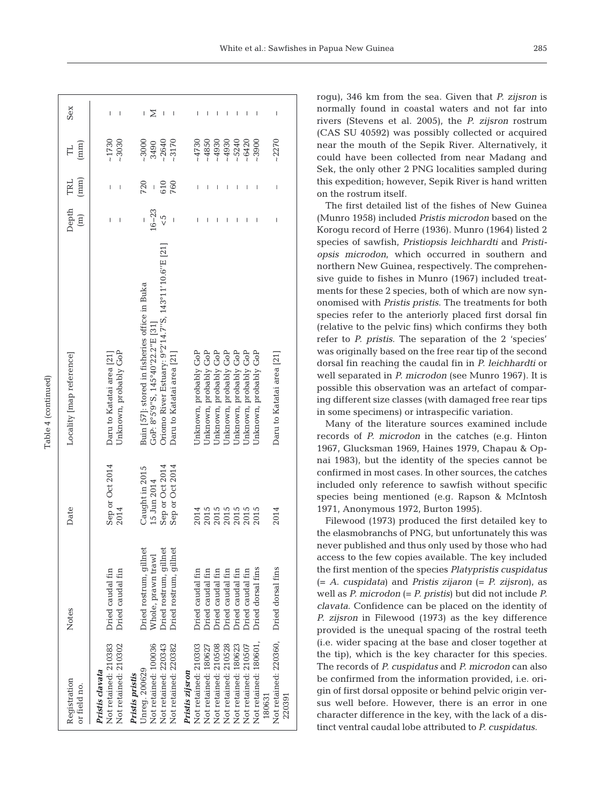| Registration<br>or field no.                                    | Notes                                            | Date                                 | Locality [map reference]                                                          | Depth<br>$\boxed{\Xi}$ | (mm)<br>TRL           | (mm)<br>H          | Sex    |
|-----------------------------------------------------------------|--------------------------------------------------|--------------------------------------|-----------------------------------------------------------------------------------|------------------------|-----------------------|--------------------|--------|
| Not retained: 210383<br>Not retained: 210302<br>Pristis clavata | Dried caudal fin<br>Dried caudal fin             | Sep or Oct 2014<br>2014              | Unknown, probably GoP<br>Daru to Katatai area [21]                                | Ï<br>I                 | I<br>I                | ~1730<br>$-3030$   | I<br>I |
| Not retained: 100036<br>Jnreg. 200629<br>Pristis pristis        | Dried rostrum, gillnet<br>Whole, prawn trawl     | Caught in 2015<br>15 Jun 2014        | Buin [57]: stored in fisheries office in Buka<br>GoP: 8°5'9"S, 145°40'22.2"E [31] | $16 - 23$<br>I         | 720<br>$\overline{1}$ | $-3000$<br>3490    | Σ<br>I |
| Not retained: 220343<br>Not retained: 220382                    | Iried rostrum, gillnet<br>Dried rostrum, gillnet | Sep or Oct 2014<br>Sep or Oct 2014   | Oriomo River Estuary: 9°2'14.7"S, 143°11'10.6"E [21]<br>Daru to Katatai area [21] | $\frac{5}{5}$<br>I     | 760<br>610            | $-3170$<br>$-2640$ | I      |
| Not retained: 210303<br>Pristis zijsron                         | Dried caudal fin                                 |                                      | Jnknown, probably GoP                                                             | Ī                      |                       | $-4730$            |        |
| Not retained: 180627                                            | <b>Dried</b> caudal fin                          | 2015<br>2015<br>2015<br>2015<br>2015 | Jnknown, probably GoP                                                             |                        |                       | $-4850$            | I      |
| Not retained: 210508                                            | Oried caudal fin                                 |                                      | Jnknown, probably GoP                                                             |                        | I                     | $-4930$            | I      |
| Not retained: 210528                                            | Oried caudal fin                                 |                                      | Jnknown, probably GoP                                                             |                        | I                     | $-4930$            | I      |
| Not retained: 180623                                            | Oried caudal fin                                 |                                      | Jnknown, probably GoP                                                             |                        | I                     | $-5240$            | ı      |
| Not retained: 210507                                            | Dried caudal fin                                 |                                      | Jnknown, probably GoP                                                             |                        |                       | $-6420$            | I      |
| Not retained: 180601,<br>180631                                 | Dried dorsal fins                                |                                      | Unknown, probably GoP                                                             |                        | I                     | $-3900$            |        |
| Not retained: 220360,<br>220391                                 | Dried dorsal fins                                | 2014                                 | Daru to Katatai area [21]                                                         | I                      | I                     | $-2270$            | I      |

Table 4 (continued) Table 4 (continued) rogu), 346 km from the sea. Given that *P. zijsron* is normally found in coastal waters and not far into rivers (Stevens et al. 2005), the *P. zijsron* rostrum (CAS SU 40592) was possibly collected or acquired near the mouth of the Sepik River. Alternatively, it could have been collected from near Madang and Sek, the only other 2 PNG localities sampled during this expedition; however, Sepik River is hand written on the rostrum itself.

The first detailed list of the fishes of New Guinea (Munro 1958) included *Pristis microdon* based on the Korogu record of Herre (1936). Munro (1964) listed 2 species of sawfish, *Pristiopsis leichhardti* and *Pristi opsis microdon*, which occurred in southern and northern New Guinea, respectively. The comprehensive guide to fishes in Munro (1967) included treatments for these 2 species, both of which are now synonomised with *Pristis pristis*. The treatments for both species refer to the anteriorly placed first dorsal fin (relative to the pelvic fins) which confirms they both refer to *P. pristis*. The separation of the 2 'species' was originally based on the free rear tip of the second dorsal fin reaching the caudal fin in *P. leichhardti* or well separated in *P. microdon* (see Munro 1967). It is possible this observation was an artefact of comparing different size classes (with damaged free rear tips in some specimens) or intraspecific variation.

Many of the literature sources examined include records of *P. microdon* in the catches (e.g. Hinton 1967, Glucksman 1969, Haines 1979, Chapau & Op nai 1983), but the identity of the species cannot be confirmed in most cases. In other sources, the catches included only reference to sawfish without specific species being mentioned (e.g. Rapson & McIntosh 1971, Anonymous 1972, Burton 1995).

Filewood (1973) produced the first detailed key to the elasmobranchs of PNG, but unfortunately this was never published and thus only used by those who had access to the few copies available. The key included the first mention of the species *Platypristis cuspidatus* (= *A. cuspidata*) and *Pristis zijaron* (= *P. zijsron*), as well as *P. microdon* (= *P. pristis*) but did not include *P. clavata*. Confidence can be placed on the identity of *P. zijsron* in Filewood (1973) as the key difference provided is the unequal spacing of the rostral teeth (i.e. wider spacing at the base and closer together at the tip), which is the key character for this species. The records of *P. cuspidatus* and *P. microdon* can also be confirmed from the information provided, i.e. origin of first dorsal opposite or behind pelvic origin versus well before. However, there is an error in one character difference in the key, with the lack of a distinct ventral caudal lobe attributed to *P. cuspidatus*.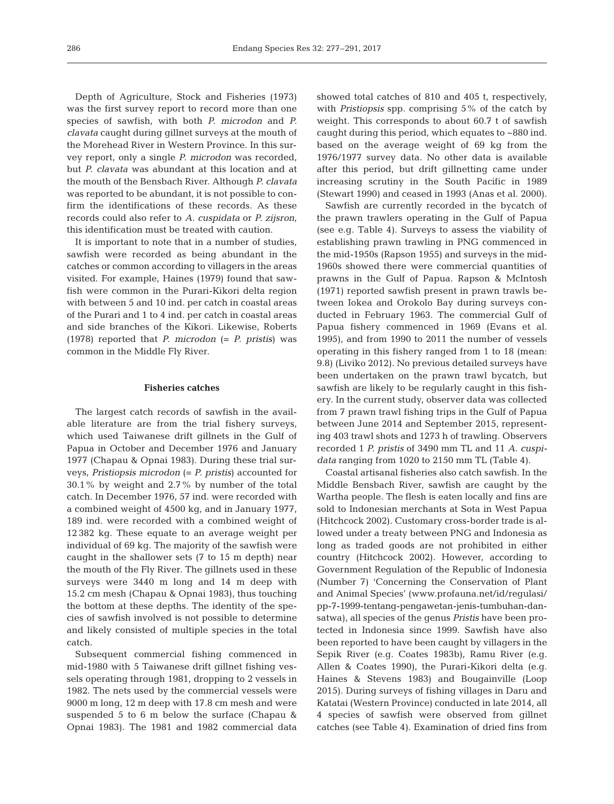Depth of Agriculture, Stock and Fisheries (1973) was the first survey report to record more than one species of sawfish, with both *P. microdon* and *P. clavata* caught during gillnet surveys at the mouth of the Morehead River in Western Province. In this survey report, only a single *P. microdon* was recorded, but *P. clavata* was abundant at this location and at the mouth of the Bensbach River. Although *P. clavata* was reported to be abundant, it is not possible to confirm the identifications of these records. As these records could also refer to *A. cuspidata* or *P. zijsron*, this identification must be treated with caution.

It is important to note that in a number of studies, sawfish were recorded as being abundant in the catches or common according to villagers in the areas visited. For example, Haines (1979) found that sawfish were common in the Purari-Kikori delta region with between 5 and 10 ind. per catch in coastal areas of the Purari and 1 to 4 ind. per catch in coastal areas and side branches of the Kikori. Likewise, Roberts (1978) reported that *P. microdon* (= *P. pristis*) was common in the Middle Fly River.

#### **Fisheries catches**

The largest catch records of sawfish in the available literature are from the trial fishery surveys, which used Taiwanese drift gillnets in the Gulf of Papua in October and December 1976 and January 1977 (Chapau & Opnai 1983). During these trial surveys, *Pristiopsis microdon* (= *P. pristis*) accounted for 30.1% by weight and 2.7% by number of the total catch. In December 1976, 57 ind. were recorded with a combined weight of 4500 kg, and in January 1977, 189 ind. were recorded with a combined weight of 12 382 kg. These equate to an average weight per individual of 69 kg. The majority of the sawfish were caught in the shallower sets (7 to 15 m depth) near the mouth of the Fly River. The gillnets used in these surveys were 3440 m long and 14 m deep with 15.2 cm mesh (Chapau & Opnai 1983), thus touching the bottom at these depths. The identity of the species of sawfish involved is not possible to determine and likely consisted of multiple species in the total catch.

Subsequent commercial fishing commenced in mid- 1980 with 5 Taiwanese drift gillnet fishing vessels operating through 1981, dropping to 2 vessels in 1982. The nets used by the commercial vessels were 9000 m long, 12 m deep with 17.8 cm mesh and were suspended 5 to 6 m below the surface (Chapau & Opnai 1983). The 1981 and 1982 commercial data

showed total catches of 810 and 405 t, respectively, with *Pristiopsis* spp. comprising 5% of the catch by weight. This corresponds to about 60.7 t of sawfish caught during this period, which equates to ~880 ind. based on the average weight of 69 kg from the 1976/1977 survey data. No other data is available after this period, but drift gillnetting came under increasing scrutiny in the South Pacific in 1989 (Stewart 1990) and ceased in 1993 (Anas et al. 2000).

Sawfish are currently recorded in the bycatch of the prawn trawlers operating in the Gulf of Papua (see e.g. Table 4). Surveys to assess the viability of establishing prawn trawling in PNG commenced in the mid-1950s (Rapson 1955) and surveys in the mid-1960s showed there were commercial quantities of prawns in the Gulf of Papua. Rapson & McIntosh (1971) reported sawfish present in prawn trawls be tween Iokea and Orokolo Bay during surveys conducted in February 1963. The commercial Gulf of Papua fishery commenced in 1969 (Evans et al. 1995), and from 1990 to 2011 the number of vessels operating in this fishery ranged from 1 to 18 (mean: 9.8) (Liviko 2012). No previous detailed surveys have been undertaken on the prawn trawl bycatch, but sawfish are likely to be regularly caught in this fishery. In the current study, observer data was collected from 7 prawn trawl fishing trips in the Gulf of Papua between June 2014 and September 2015, representing 403 trawl shots and 1273 h of trawling. Observers recorded 1 *P. pristis* of 3490 mm TL and 11 *A. cuspidata* ranging from 1020 to 2150 mm TL (Table 4).

Coastal artisanal fisheries also catch sawfish. In the Middle Bensbach River, sawfish are caught by the Wartha people. The flesh is eaten locally and fins are sold to Indonesian merchants at Sota in West Papua (Hitchcock 2002). Customary cross-border trade is allowed under a treaty between PNG and Indonesia as long as traded goods are not prohibited in either country (Hitchcock 2002). However, according to Government Regulation of the Republic of Indonesia (Number 7) 'Concerning the Conservation of Plant and Animal Species' (www.profauna.net/id/regulasi/ pp-7-1999-tentang-pengawetan-jenis-tumbuhan-dansatwa), all species of the genus *Pristis* have been protected in Indonesia since 1999. Sawfish have also been reported to have been caught by villagers in the Sepik River (e.g. Coates 1983b), Ramu River (e.g. Allen & Coates 1990), the Purari-Kikori delta (e.g. Haines & Stevens 1983) and Bougainville (Loop 2015). During surveys of fishing villages in Daru and Katatai (Western Province) conducted in late 2014, all 4 species of sawfish were observed from gillnet catches (see Table 4). Examination of dried fins from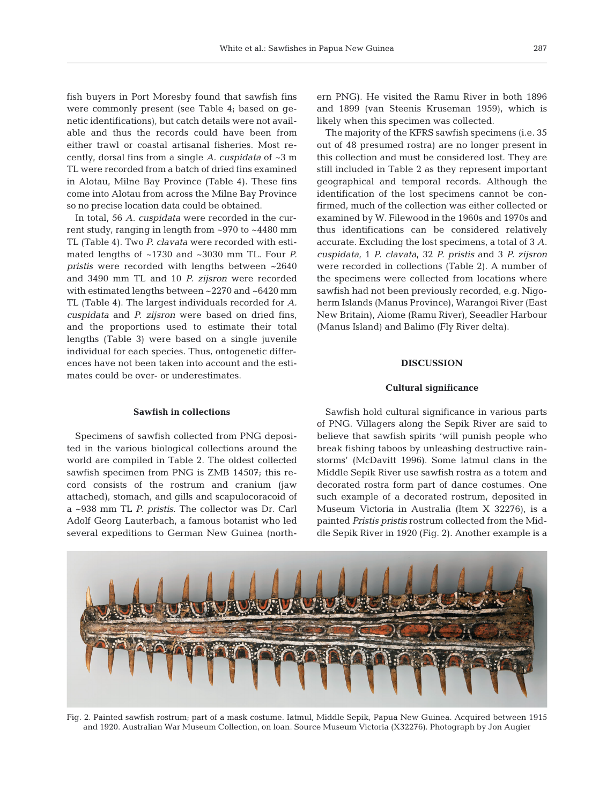fish buyers in Port Moresby found that sawfish fins were commonly present (see Table 4; based on genetic identifications), but catch details were not available and thus the records could have been from either trawl or coastal artisanal fisheries. Most recently, dorsal fins from a single *A. cuspidata* of ~3 m TL were recorded from a batch of dried fins examined in Alotau, Milne Bay Province (Table 4). These fins come into Alotau from across the Milne Bay Province so no precise location data could be obtained.

In total, 56 *A. cuspidata* were recorded in the current study, ranging in length from ~970 to ~4480 mm TL (Table 4). Two *P. clavata* were recorded with estimated lengths of ~1730 and ~3030 mm TL. Four *P. pristis* were recorded with lengths between ~2640 and 3490 mm TL and 10 *P. zijsron* were recorded with estimated lengths between ~2270 and ~6420 mm TL (Table 4). The largest individuals recorded for *A. cuspidata* and *P. zijsron* were based on dried fins, and the proportions used to estimate their total lengths (Table 3) were based on a single juvenile individual for each species. Thus, ontogenetic differences have not been taken into account and the estimates could be over- or underestimates.

ern PNG). He visited the Ramu River in both 1896 and 1899 (van Steenis Kruseman 1959), which is likely when this specimen was collected.

The majority of the KFRS sawfish specimens (i.e. 35 out of 48 presumed rostra) are no longer present in this collection and must be considered lost. They are still included in Table 2 as they represent important geographical and temporal records. Although the identification of the lost specimens cannot be confirmed, much of the collection was either collected or examined by W. Filewood in the 1960s and 1970s and thus identifications can be considered relatively accurate. Excluding the lost specimens, a total of 3 *A. cuspidata*, 1 *P. clavata*, 32 *P. pristis* and 3 *P. zijsron* were recorded in collections (Table 2). A number of the specimens were collected from locations where sawfish had not been previously recorded, e.g. Nigoherm Islands (Manus Province), Warangoi River (East New Britain), Aiome (Ramu River), Seeadler Harbour (Manus Island) and Balimo (Fly River delta).

## **DISCUSSION**

#### **Cultural significance**

#### **Sawfish in collections**

Specimens of sawfish collected from PNG deposited in the various biological collections around the world are compiled in Table 2. The oldest collected sawfish specimen from PNG is ZMB 14507; this re cord consists of the rostrum and cranium (jaw attached), stomach, and gills and scapulocoracoid of a ~938 mm TL *P. pristis*. The collector was Dr. Carl Adolf Georg Lauterbach, a famous botanist who led several expeditions to German New Guinea (north-

Sawfish hold cultural significance in various parts of PNG. Villagers along the Sepik River are said to believe that sawfish spirits 'will punish people who break fishing taboos by unleashing destructive rainstorms' (McDavitt 1996). Some Iatmul clans in the Middle Sepik River use sawfish rostra as a totem and decorated rostra form part of dance costumes. One such example of a decorated rostrum, deposited in Museum Victoria in Australia (Item X 32276), is a painted *Pristis pristis* rostrum collected from the Middle Sepik River in 1920 (Fig. 2). Another example is a



Fig. 2. Painted sawfish rostrum; part of a mask costume. Iatmul, Middle Sepik, Papua New Guinea. Acquired between 1915 and 1920. Australian War Museum Collection, on loan. Source Museum Victoria (X32276). Photograph by Jon Augier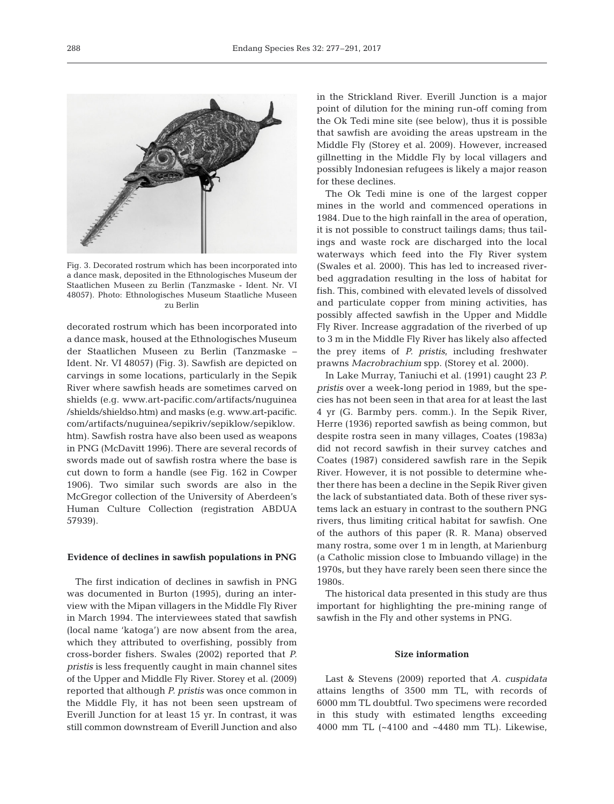

Fig. 3. Decorated rostrum which has been incorporated into a dance mask, deposited in the Ethnologisches Museum der Staatlichen Museen zu Berlin (Tanzmaske - Ident. Nr. VI 48057). Photo: Ethnologisches Museum Staatliche Museen zu Berlin

decorated rostrum which has been incorporated into a dance mask, housed at the Ethnologisches Museum der Staatlichen Museen zu Berlin (Tanzmaske – Ident. Nr. VI 48057) (Fig. 3). Sawfish are depicted on carvings in some locations, particularly in the Sepik River where sawfish heads are sometimes carved on shields (e.g. www.art-pacific.com/artifacts/nuguinea / shields/shieldso.htm) and masks (e.g. www.art-pacific. com/artifacts/nuguinea/sepikriv/sepiklow/sepiklow. htm). Sawfish rostra have also been used as weapons in PNG (McDavitt 1996). There are several records of swords made out of sawfish rostra where the base is cut down to form a handle (see Fig. 162 in Cowper 1906). Two similar such swords are also in the McGregor collection of the University of Aberdeen's Human Culture Collection (registration ABDUA 57939).

#### **Evidence of declines in sawfish populations in PNG**

The first indication of declines in sawfish in PNG was documented in Burton (1995), during an interview with the Mipan villagers in the Middle Fly River in March 1994. The interviewees stated that sawfish (local name 'katoga') are now absent from the area, which they attributed to overfishing, possibly from cross-border fishers. Swales (2002) reported that *P. pristis* is less frequently caught in main channel sites of the Upper and Middle Fly River. Storey et al. (2009) reported that although *P. pristis* was once common in the Middle Fly, it has not been seen upstream of Everill Junction for at least 15 yr. In contrast, it was still common downstream of Everill Junction and also

in the Strickland River. Everill Junction is a major point of dilution for the mining run-off coming from the Ok Tedi mine site (see below), thus it is possible that sawfish are avoiding the areas upstream in the Middle Fly (Storey et al. 2009). However, increased gillnetting in the Middle Fly by local villagers and possibly Indonesian refugees is likely a major reason for these declines.

The Ok Tedi mine is one of the largest copper mines in the world and commenced operations in 1984. Due to the high rainfall in the area of operation, it is not possible to construct tailings dams; thus tailings and waste rock are discharged into the local waterways which feed into the Fly River system (Swales et al. 2000). This has led to increased river bed aggradation resulting in the loss of habitat for fish. This, combined with elevated levels of dissolved and particulate copper from mining activities, has possibly affected sawfish in the Upper and Middle Fly River. Increase aggradation of the riverbed of up to 3 m in the Middle Fly River has likely also affected the prey items of *P. pristis*, including freshwater prawns *Macrobrachium* spp. (Storey et al. 2000).

In Lake Murray, Taniuchi et al. (1991) caught 23 *P. pristis* over a week-long period in 1989, but the species has not been seen in that area for at least the last 4 yr (G. Barmby pers. comm.). In the Sepik River, Herre (1936) reported sawfish as being common, but despite rostra seen in many villages, Coates (1983a) did not record sawfish in their survey catches and Coates (1987) considered sawfish rare in the Sepik River. However, it is not possible to determine whe ther there has been a decline in the Sepik River given the lack of substantiated data. Both of these river systems lack an estuary in contrast to the southern PNG rivers, thus limiting critical habitat for sawfish. One of the authors of this paper (R. R. Mana) observed many rostra, some over 1 m in length, at Marienburg (a Catholic mission close to Imbuando village) in the 1970s, but they have rarely been seen there since the 1980s.

The historical data presented in this study are thus important for highlighting the pre-mining range of sawfish in the Fly and other systems in PNG.

## **Size information**

Last & Stevens (2009) reported that *A. cuspidata* attains lengths of 3500 mm TL, with records of 6000 mm TL doubtful. Two specimens were recorded in this study with estimated lengths exceeding 4000 mm TL (~4100 and ~4480 mm TL). Likewise,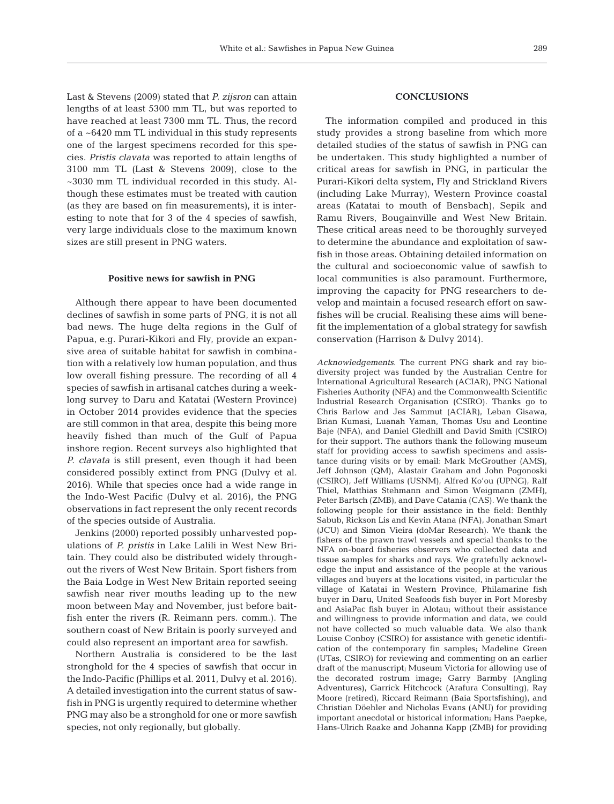Last & Stevens (2009) stated that *P. zijsron* can attain lengths of at least 5300 mm TL, but was reported to have reached at least 7300 mm TL. Thus, the record of a ~6420 mm TL individual in this study represents one of the largest specimens recorded for this species. *Pristis clavata* was reported to attain lengths of 3100 mm TL (Last & Stevens 2009), close to the ~3030 mm TL individual recorded in this study. Al though these estimates must be treated with caution (as they are based on fin measurements), it is interesting to note that for 3 of the 4 species of sawfish, very large individuals close to the maximum known sizes are still present in PNG waters.

#### **Positive news for sawfish in PNG**

Although there appear to have been documented declines of sawfish in some parts of PNG, it is not all bad news. The huge delta regions in the Gulf of Papua, e.g. Purari-Kikori and Fly, provide an expansive area of suitable habitat for sawfish in combination with a relatively low human population, and thus low overall fishing pressure. The recording of all 4 species of sawfish in artisanal catches during a weeklong survey to Daru and Katatai (Western Province) in October 2014 provides evidence that the species are still common in that area, despite this being more heavily fished than much of the Gulf of Papua inshore region. Recent surveys also highlighted that *P. clavata* is still present, even though it had been considered possibly extinct from PNG (Dulvy et al. 2016). While that species once had a wide range in the Indo-West Pacific (Dulvy et al. 2016), the PNG observations in fact represent the only recent records of the species outside of Australia.

Jenkins (2000) reported possibly unharvested populations of *P. pristis* in Lake Lalili in West New Britain. They could also be distributed widely throughout the rivers of West New Britain. Sport fishers from the Baia Lodge in West New Britain reported seeing sawfish near river mouths leading up to the new moon between May and November, just before baitfish enter the rivers (R. Reimann pers. comm.). The southern coast of New Britain is poorly surveyed and could also represent an important area for sawfish.

Northern Australia is considered to be the last stronghold for the 4 species of sawfish that occur in the Indo-Pacific (Phillips et al. 2011, Dulvy et al. 2016). A detailed investigation into the current status of sawfish in PNG is urgently required to determine whether PNG may also be a stronghold for one or more sawfish species, not only regionally, but globally.

# **CONCLUSIONS**

The information compiled and produced in this study provides a strong baseline from which more detailed studies of the status of sawfish in PNG can be undertaken. This study highlighted a number of critical areas for sawfish in PNG, in particular the Purari-Kikori delta system, Fly and Strickland Rivers (including Lake Murray), Western Province coastal areas (Katatai to mouth of Bensbach), Sepik and Ramu Rivers, Bougainville and West New Britain. These critical areas need to be thoroughly surveyed to determine the abundance and exploitation of sawfish in those areas. Obtaining detailed information on the cultural and socioeconomic value of sawfish to local communities is also paramount. Furthermore, improving the capacity for PNG researchers to de velop and maintain a focused research effort on sawfishes will be crucial. Realising these aims will benefit the implementation of a global strategy for sawfish conservation (Harrison & Dulvy 2014).

Acknowledgements. The current PNG shark and ray biodiversity project was funded by the Australian Centre for International Agricultural Research (ACIAR), PNG National Fisheries Authority (NFA) and the Commonwealth Scientific Industrial Research Organisation (CSIRO). Thanks go to Chris Barlow and Jes Sammut (ACIAR), Leban Gisawa, Brian Kumasi, Luanah Yaman, Thomas Usu and Leontine Baje (NFA), and Daniel Gledhill and David Smith (CSIRO) for their support. The authors thank the following museum staff for providing access to sawfish specimens and assistance during visits or by email: Mark McGrouther (AMS), Jeff Johnson (QM), Alastair Graham and John Pogonoski (CSIRO), Jeff Williams (USNM), Alfred Ko'ou (UPNG), Ralf Thiel, Matthias Stehmann and Simon Weigmann (ZMH), Peter Bartsch (ZMB), and Dave Catania (CAS). We thank the following people for their assistance in the field: Benthly Sabub, Rickson Lis and Kevin Atana (NFA), Jonathan Smart (JCU) and Simon Vieira (doMar Research). We thank the fishers of the prawn trawl vessels and special thanks to the NFA on-board fisheries observers who collected data and tissue samples for sharks and rays. We gratefully acknowledge the input and assistance of the people at the various villages and buyers at the locations visited, in particular the village of Katatai in Western Province, Philamarine fish buyer in Daru, United Seafoods fish buyer in Port Moresby and AsiaPac fish buyer in Alotau; without their assistance and willingness to provide information and data, we could not have collected so much valuable data. We also thank Louise Conboy (CSIRO) for assistance with genetic identification of the contemporary fin samples; Madeline Green (UTas, CSIRO) for reviewing and commenting on an earlier draft of the manuscript; Museum Victoria for allowing use of the decorated rostrum image; Garry Barmby (Angling Adventures), Garrick Hitchcock (Arafura Consulting), Ray Moore (retired), Riccard Reimann (Baia Sportsfishing), and Christian Döehler and Nicholas Evans (ANU) for providing important anecdotal or historical information; Hans Paepke, Hans-Ulrich Raake and Johanna Kapp (ZMB) for providing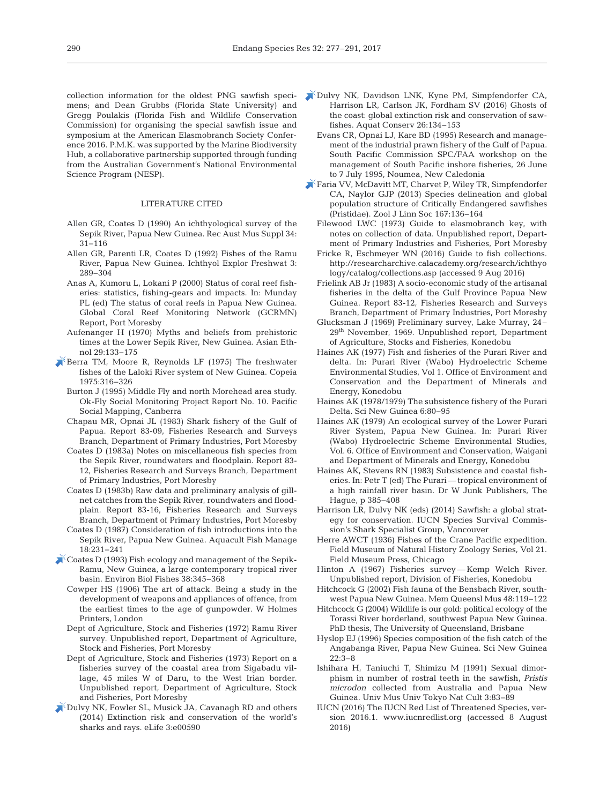collection information for the oldest PNG sawfish specimens; and Dean Grubbs (Florida State University) and Gregg Poulakis (Florida Fish and Wildlife Conservation Commission) for organising the special sawfish issue and symposium at the American Elasmobranch Society Conference 2016. P.M.K. was supported by the Marine Biodiversity Hub, a collaborative partnership supported through funding from the Australian Government's National Environmental Science Program (NESP).

#### LITERATURE CITED

- Allen GR, Coates D (1990) An ichthyological survey of the Sepik River, Papua New Guinea. Rec Aust Mus Suppl 34: 31−116
- Allen GR, Parenti LR, Coates D (1992) Fishes of the Ramu River, Papua New Guinea. Ichthyol Explor Freshwat 3: 289−304
- Anas A, Kumoru L, Lokani P (2000) Status of coral reef fisheries: statistics, fishing-gears and impacts. In: Munday PL (ed) The status of coral reefs in Papua New Guinea. Global Coral Reef Monitoring Network (GCRMN) Report, Port Moresby
- Aufenanger H (1970) Myths and beliefs from prehistoric times at the Lower Sepik River, New Guinea. Asian Ethnol 29: 133−175
- [Berra TM, Moore R, Reynolds LF \(1975\) The freshwater](https://doi.org/10.2307/1442885) fishes of the Laloki River system of New Guinea. Copeia 1975: 316−326
	- Burton J (1995) Middle Fly and north Morehead area study. Ok-Fly Social Monitoring Project Report No. 10. Pacific Social Mapping, Canberra
	- Chapau MR, Opnai JL (1983) Shark fishery of the Gulf of Papua. Report 83-09, Fisheries Research and Surveys Branch, Department of Primary Industries, Port Moresby
	- Coates D (1983a) Notes on miscellaneous fish species from the Sepik River, roundwaters and floodplain. Report 83- 12, Fisheries Research and Surveys Branch, Department of Primary Industries, Port Moresby
	- Coates D (1983b) Raw data and preliminary analysis of gillnet catches from the Sepik River, roundwaters and floodplain. Report 83-16, Fisheries Research and Surveys Branch, Department of Primary Industries, Port Moresby
	- Coates D (1987) Consideration of fish introductions into the Sepik River, Papua New Guinea. Aquacult Fish Manage 18: 231−241
- [Coates D \(1993\) Fish ecology and management of the Sepik-](https://doi.org/10.1007/BF00007528)Ramu, New Guinea, a large contemporary tropical river basin. Environ Biol Fishes 38: 345−368
	- Cowper HS (1906) The art of attack. Being a study in the development of weapons and appliances of offence, from the earliest times to the age of gunpowder. W Holmes Printers, London
	- Dept of Agriculture, Stock and Fisheries (1972) Ramu River survey. Unpublished report, Department of Agriculture, Stock and Fisheries, Port Moresby
	- Dept of Agriculture, Stock and Fisheries (1973) Report on a fisheries survey of the coastal area from Sigabadu village, 45 miles W of Daru, to the West Irian border. Unpublished report, Department of Agriculture, Stock and Fisheries, Port Moresby
- [Dulvy NK, Fowler SL, Musick JA, Cavanagh RD and others](https://doi.org/10.7554/eLife.00590) (2014) Extinction risk and conservation of the world's sharks and rays. eLife 3:e00590
- [Dulvy NK, Davidson LNK, Kyne PM, Simpfendorfer CA,](https://doi.org/10.1002/aqc.2525) Harrison LR, Carlson JK, Fordham SV (2016) Ghosts of the coast:global extinction risk and conservation of sawfishes. Aquat Conserv 26: 134−153
	- Evans CR, Opnai LJ, Kare BD (1995) Research and management of the industrial prawn fishery of the Gulf of Papua. South Pacific Commission SPC/FAA workshop on the management of South Pacific inshore fisheries, 26 June to 7 July 1995, Noumea, New Caledonia
- [Faria VV, McDavitt MT, Charvet P, Wiley TR, Simpfendorfer](https://doi.org/10.1111/j.1096-3642.2012.00872.x) CA, Naylor GJP (2013) Species delineation and global population structure of Critically Endangered sawfishes (Pristidae). Zool J Linn Soc 167: 136−164
	- Filewood LWC (1973) Guide to elasmobranch key, with notes on collection of data. Unpublished report, Department of Primary Industries and Fisheries, Port Moresby
	- Fricke R, Eschmeyer WN (2016) Guide to fish collections. http://researcharchive.calacademy.org/research/ichthyo logy/catalog/collections.asp (accessed 9 Aug 2016)
	- Frielink AB Jr (1983) A socio-economic study of the artisanal fisheries in the delta of the Gulf Province Papua New Guinea. Report 83-12, Fisheries Research and Surveys Branch, Department of Primary Industries, Port Moresby
	- Glucksman J (1969) Preliminary survey, Lake Murray, 24– 29th November, 1969. Unpublished report, Department of Agriculture, Stocks and Fisheries, Konedobu
	- Haines AK (1977) Fish and fisheries of the Purari River and delta. In: Purari River (Wabo) Hydroelectric Scheme Environmental Studies, Vol 1. Office of Environment and Conservation and the Department of Minerals and Energy, Konedobu
	- Haines AK (1978/1979) The subsistence fishery of the Purari Delta. Sci New Guinea 6: 80−95
	- Haines AK (1979) An ecological survey of the Lower Purari River System, Papua New Guinea. In: Purari River (Wabo) Hydroelectric Scheme Environmental Studies, Vol. 6. Office of Environment and Conservation, Waigani and Department of Minerals and Energy, Konedobu
	- Haines AK, Stevens RN (1983) Subsistence and coastal fisheries. In:Petr T (ed) The Purari — tropical environment of a high rainfall river basin. Dr W Junk Publishers, The Hague, p 385−408
	- Harrison LR, Dulvy NK (eds) (2014) Sawfish: a global strategy for conservation. IUCN Species Survival Commission's Shark Specialist Group, Vancouver
	- Herre AWCT (1936) Fishes of the Crane Pacific expedition. Field Museum of Natural History Zoology Series, Vol 21. Field Museum Press, Chicago
	- Hinton A (1967) Fisheries survey Kemp Welch River. Unpublished report, Division of Fisheries, Konedobu
	- Hitchcock G (2002) Fish fauna of the Bensbach River, southwest Papua New Guinea. Mem Queensl Mus 48: 119−122
	- Hitchcock G (2004) Wildlife is our gold: political ecology of the Torassi River borderland, southwest Papua New Guinea. PhD thesis, The University of Queensland, Brisbane
	- Hyslop EJ (1996) Species composition of the fish catch of the Angabanga River, Papua New Guinea. Sci New Guinea 22: 3−8
	- Ishihara H, Taniuchi T, Shimizu M (1991) Sexual dimorphism in number of rostral teeth in the sawfish, *Pristis microdon* collected from Australia and Papua New Guinea. Univ Mus Univ Tokyo Nat Cult 3:83-89
	- IUCN (2016) The IUCN Red List of Threatened Species, version 2016.1. www.iucnredlist.org (accessed 8 August 2016)